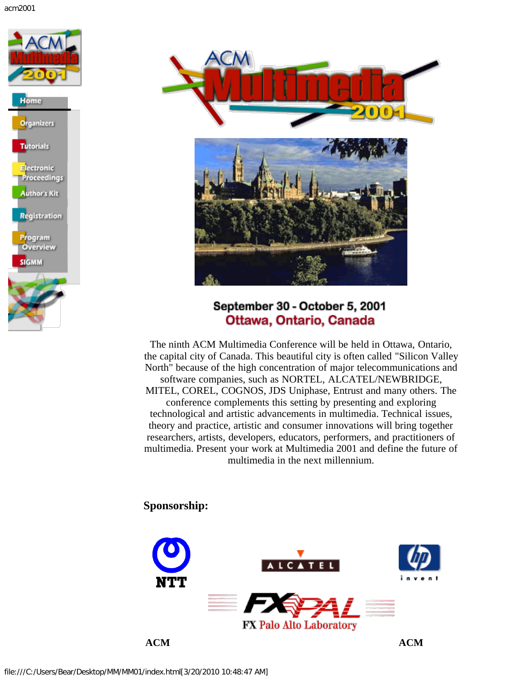



### September 30 - October 5, 2001 Ottawa, Ontario, Canada

The ninth ACM Multimedia Conference will be held in Ottawa, Ontario, the capital city of Canada. This beautiful city is often called "Silicon Valley North" because of the high concentration of major telecommunications and software companies, such as NORTEL, ALCATEL/NEWBRIDGE, MITEL, COREL, COGNOS, JDS Uniphase, Entrust and many others. The conference complements this setting by presenting and exploring technological and artistic advancements in multimedia. Technical issues, theory and practice, artistic and consumer innovations will bring together researchers, artists, developers, educators, performers, and practitioners of multimedia. Present your work at Multimedia 2001 and define the future of multimedia in the next millennium.

**Sponsorship:**

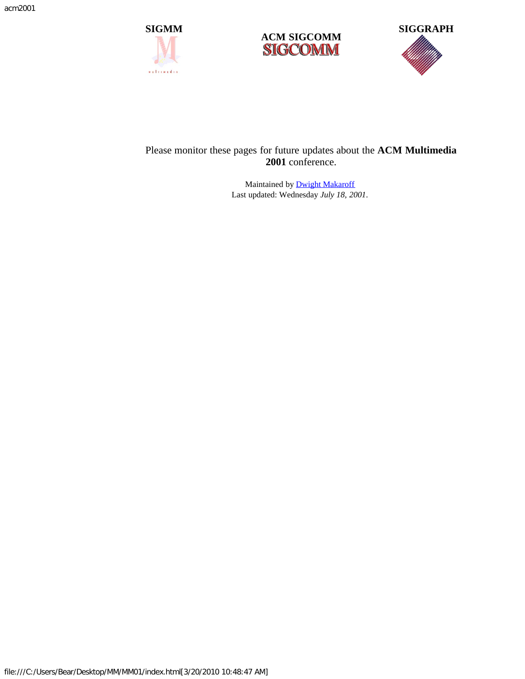





### Please monitor these pages for future updates about the **ACM Multimedia 2001** conference.

Maintained by [Dwight Makaroff](mailto:makaroff@site.uottawa.ca) Last updated: Wednesday *July 18, 2001*.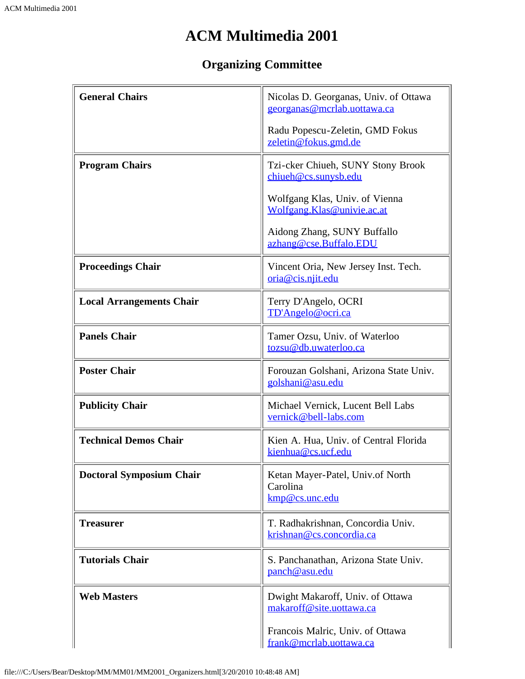# **ACM Multimedia 2001**

# **Organizing Committee**

| <b>General Chairs</b>           | Nicolas D. Georganas, Univ. of Ottawa<br>georganas@mcrlab.uottawa.ca |
|---------------------------------|----------------------------------------------------------------------|
|                                 | Radu Popescu-Zeletin, GMD Fokus<br>zeletin@fokus.gmd.de              |
| <b>Program Chairs</b>           | Tzi-cker Chiueh, SUNY Stony Brook<br>chiueh@cs.sunysb.edu            |
|                                 | Wolfgang Klas, Univ. of Vienna<br>Wolfgang.Klas@univie.ac.at         |
|                                 | Aidong Zhang, SUNY Buffallo<br>azhang@cse.Buffalo.EDU                |
| <b>Proceedings Chair</b>        | Vincent Oria, New Jersey Inst. Tech.<br>oria@cis.njit.edu            |
| <b>Local Arrangements Chair</b> | Terry D'Angelo, OCRI<br>TD'Angelo@ocri.ca                            |
| <b>Panels Chair</b>             | Tamer Ozsu, Univ. of Waterloo<br>tozsu@db.uwaterloo.ca               |
| <b>Poster Chair</b>             | Forouzan Golshani, Arizona State Univ.<br>golshani@asu.edu           |
| <b>Publicity Chair</b>          | Michael Vernick, Lucent Bell Labs<br>vernick@bell-labs.com           |
| <b>Technical Demos Chair</b>    | Kien A. Hua, Univ. of Central Florida<br>kienhua@cs.ucf.edu          |
| <b>Doctoral Symposium Chair</b> | Ketan Mayer-Patel, Univ.of North<br>Carolina<br>kmp@cs.unc.edu       |
| <b>Treasurer</b>                | T. Radhakrishnan, Concordia Univ.<br>krishnan@cs.concordia.ca        |
| <b>Tutorials Chair</b>          | S. Panchanathan, Arizona State Univ.<br>panch@asu.edu                |
| <b>Web Masters</b>              | Dwight Makaroff, Univ. of Ottawa<br>makaroff@site.uottawa.ca         |
|                                 | Francois Malric, Univ. of Ottawa<br>frank@mcrlab.uottawa.ca          |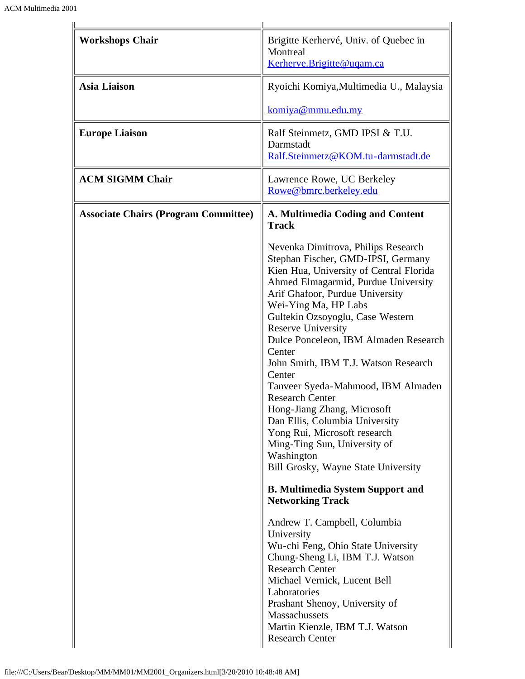| <b>Workshops Chair</b>                      | Brigitte Kerhervé, Univ. of Quebec in<br>Montreal<br>Kerherve.Brigitte@uqam.ca                                                                                                                                                                                                                                                                                                                                                                                                                                                                                                                                                                     |
|---------------------------------------------|----------------------------------------------------------------------------------------------------------------------------------------------------------------------------------------------------------------------------------------------------------------------------------------------------------------------------------------------------------------------------------------------------------------------------------------------------------------------------------------------------------------------------------------------------------------------------------------------------------------------------------------------------|
| <b>Asia Liaison</b>                         | Ryoichi Komiya, Multimedia U., Malaysia                                                                                                                                                                                                                                                                                                                                                                                                                                                                                                                                                                                                            |
|                                             | komiya@mmu.edu.my                                                                                                                                                                                                                                                                                                                                                                                                                                                                                                                                                                                                                                  |
| <b>Europe Liaison</b>                       | Ralf Steinmetz, GMD IPSI & T.U.<br>Darmstadt<br>Ralf.Steinmetz@KOM.tu-darmstadt.de                                                                                                                                                                                                                                                                                                                                                                                                                                                                                                                                                                 |
| <b>ACM SIGMM Chair</b>                      | Lawrence Rowe, UC Berkeley<br>Rowe@bmrc.berkeley.edu                                                                                                                                                                                                                                                                                                                                                                                                                                                                                                                                                                                               |
| <b>Associate Chairs (Program Committee)</b> | A. Multimedia Coding and Content<br><b>Track</b>                                                                                                                                                                                                                                                                                                                                                                                                                                                                                                                                                                                                   |
|                                             | Nevenka Dimitrova, Philips Research<br>Stephan Fischer, GMD-IPSI, Germany<br>Kien Hua, University of Central Florida<br>Ahmed Elmagarmid, Purdue University<br>Arif Ghafoor, Purdue University<br>Wei-Ying Ma, HP Labs<br>Gultekin Ozsoyoglu, Case Western<br><b>Reserve University</b><br>Dulce Ponceleon, IBM Almaden Research<br>Center<br>John Smith, IBM T.J. Watson Research<br>Center<br>Tanveer Syeda-Mahmood, IBM Almaden<br><b>Research Center</b><br>Hong-Jiang Zhang, Microsoft<br>Dan Ellis, Columbia University<br>Yong Rui, Microsoft research<br>Ming-Ting Sun, University of<br>Washington<br>Bill Grosky, Wayne State University |
|                                             | <b>B. Multimedia System Support and</b><br><b>Networking Track</b>                                                                                                                                                                                                                                                                                                                                                                                                                                                                                                                                                                                 |
|                                             | Andrew T. Campbell, Columbia<br>University<br>Wu-chi Feng, Ohio State University<br>Chung-Sheng Li, IBM T.J. Watson<br><b>Research Center</b><br>Michael Vernick, Lucent Bell<br>Laboratories<br>Prashant Shenoy, University of<br>Massachussets<br>Martin Kienzle, IBM T.J. Watson<br><b>Research Center</b>                                                                                                                                                                                                                                                                                                                                      |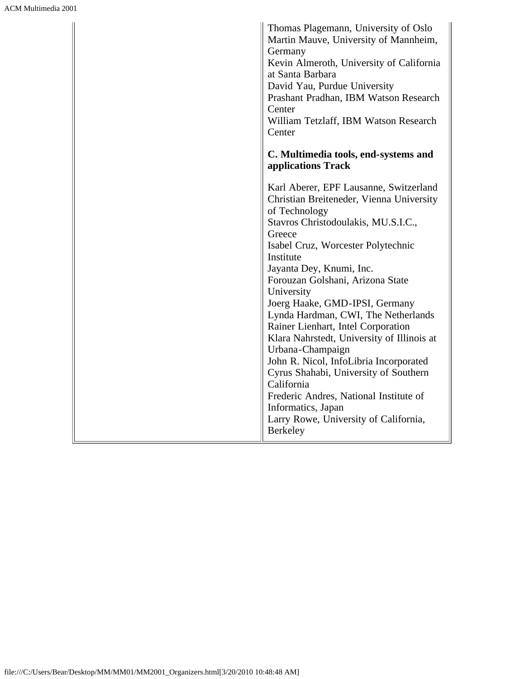| Thomas Plagemann, University of Oslo<br>Martin Mauve, University of Mannheim,<br>Germany<br>Kevin Almeroth, University of California<br>at Santa Barbara<br>David Yau, Purdue University<br>Prashant Pradhan, IBM Watson Research<br>Center<br>William Tetzlaff, IBM Watson Research<br>Center                                                                                                                                                                                                                                                                                                                                                                                                      |
|-----------------------------------------------------------------------------------------------------------------------------------------------------------------------------------------------------------------------------------------------------------------------------------------------------------------------------------------------------------------------------------------------------------------------------------------------------------------------------------------------------------------------------------------------------------------------------------------------------------------------------------------------------------------------------------------------------|
| C. Multimedia tools, end-systems and<br>applications Track                                                                                                                                                                                                                                                                                                                                                                                                                                                                                                                                                                                                                                          |
| Karl Aberer, EPF Lausanne, Switzerland<br>Christian Breiteneder, Vienna University<br>of Technology<br>Stavros Christodoulakis, MU.S.I.C.,<br>Greece<br>Isabel Cruz, Worcester Polytechnic<br>Institute<br>Jayanta Dey, Knumi, Inc.<br>Forouzan Golshani, Arizona State<br>University<br>Joerg Haake, GMD-IPSI, Germany<br>Lynda Hardman, CWI, The Netherlands<br>Rainer Lienhart, Intel Corporation<br>Klara Nahrstedt, University of Illinois at<br>Urbana-Champaign<br>John R. Nicol, InfoLibria Incorporated<br>Cyrus Shahabi, University of Southern<br>California<br>Frederic Andres, National Institute of<br>Informatics, Japan<br>Larry Rowe, University of California,<br><b>Berkeley</b> |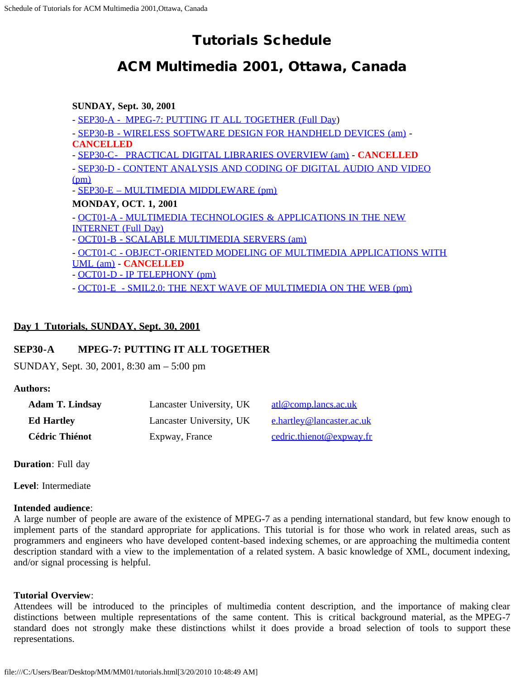# Tutorials Schedule

## ACM Multimedia 2001, Ottawa, Canada

#### **SUNDAY, Sept. 30, 2001**

- [SEP30-A MPEG-7: PUTTING IT ALL TOGETHER \(Full Day\)](#page-5-0)
- [SEP30-B WIRELESS SOFTWARE DESIGN FOR HANDHELD DEVICES \(am\)](#page-8-0) **CANCELLED**
- [SEP30-C- PRACTICAL DIGITAL LIBRARIES OVERVIEW \(am\)](#page-9-0)  **CANCELLED**
- [SEP30-D CONTENT ANALYSIS AND CODING OF DIGITAL AUDIO AND VIDEO](#page-11-0) [\(pm\)](#page-11-0)
- [SEP30-E MULTIMEDIA MIDDLEWARE \(pm\)](#page-13-0)

### **MONDAY, OCT. 1, 2001**

- [OCT01-A MULTIMEDIA TECHNOLOGIES & APPLICATIONS IN THE NEW](#page-14-0) [INTERNET \(Full Day\)](#page-14-0)
- [OCT01-B SCALABLE MULTIMEDIA SERVERS \(am\)](#page-17-0)
- [OCT01-C OBJECT-ORIENTED MODELING OF MULTIMEDIA APPLICATIONS WITH](#page-19-0)
- [UML \(am\)](#page-19-0) **CANCELLED**
- [OCT01-D IP TELEPHONY \(pm\)](#page-20-0)
- [OCT01-E SMIL2.0: THE NEXT WAVE OF MULTIMEDIA ON THE WEB \(pm\)](#page-21-0)

### **Day 1 Tutorials, SUNDAY, Sept. 30, 2001**

### <span id="page-5-0"></span>**SEP30-A MPEG-7: PUTTING IT ALL TOGETHER**

SUNDAY, Sept. 30, 2001, 8:30 am – 5:00 pm

#### **Authors:**

| <b>Adam T. Lindsay</b> | Lancaster University, UK | <u>atl@comp.lancs.ac.uk</u> |
|------------------------|--------------------------|-----------------------------|
| <b>Ed Hartley</b>      | Lancaster University, UK | e.hartley@lancaster.ac.uk   |
| <b>Cédric Thiénot</b>  | Expway, France           | cedric.thienot@expway.fr    |

**Duration**: Full day

**Level**: Intermediate

#### **Intended audience**:

A large number of people are aware of the existence of MPEG-7 as a pending international standard, but few know enough to implement parts of the standard appropriate for applications. This tutorial is for those who work in related areas, such as programmers and engineers who have developed content-based indexing schemes, or are approaching the multimedia content description standard with a view to the implementation of a related system. A basic knowledge of XML, document indexing, and/or signal processing is helpful.

#### **Tutorial Overview**:

Attendees will be introduced to the principles of multimedia content description, and the importance of making clear distinctions between multiple representations of the same content. This is critical background material, as the MPEG-7 standard does not strongly make these distinctions whilst it does provide a broad selection of tools to support these representations.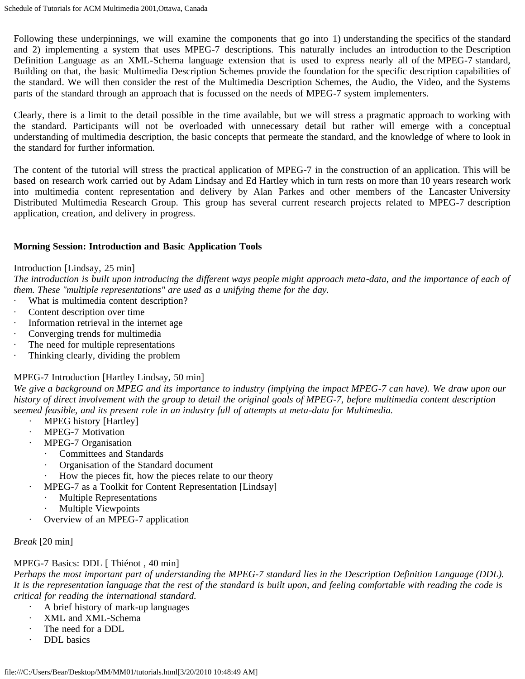Following these underpinnings, we will examine the components that go into 1) understanding the specifics of the standard and 2) implementing a system that uses MPEG-7 descriptions. This naturally includes an introduction to the Description Definition Language as an XML-Schema language extension that is used to express nearly all of the MPEG-7 standard, Building on that, the basic Multimedia Description Schemes provide the foundation for the specific description capabilities of the standard. We will then consider the rest of the Multimedia Description Schemes, the Audio, the Video, and the Systems parts of the standard through an approach that is focussed on the needs of MPEG-7 system implementers.

Clearly, there is a limit to the detail possible in the time available, but we will stress a pragmatic approach to working with the standard. Participants will not be overloaded with unnecessary detail but rather will emerge with a conceptual understanding of multimedia description, the basic concepts that permeate the standard, and the knowledge of where to look in the standard for further information.

The content of the tutorial will stress the practical application of MPEG-7 in the construction of an application. This will be based on research work carried out by Adam Lindsay and Ed Hartley which in turn rests on more than 10 years research work into multimedia content representation and delivery by Alan Parkes and other members of the Lancaster University Distributed Multimedia Research Group. This group has several current research projects related to MPEG-7 description application, creation, and delivery in progress.

#### **Morning Session: Introduction and Basic Application Tools**

#### Introduction [Lindsay, 25 min]

*The introduction is built upon introducing the different ways people might approach meta-data, and the importance of each of them. These "multiple representations" are used as a unifying theme for the day.*

- What is multimedia content description?
- · Content description over time
- · Information retrieval in the internet age
- · Converging trends for multimedia
- · The need for multiple representations
- Thinking clearly, dividing the problem

#### MPEG-7 Introduction [Hartley Lindsay, 50 min]

*We give a background on MPEG and its importance to industry (implying the impact MPEG-7 can have). We draw upon our history of direct involvement with the group to detail the original goals of MPEG-7, before multimedia content description seemed feasible, and its present role in an industry full of attempts at meta-data for Multimedia.*

- · MPEG history [Hartley]
- · MPEG-7 Motivation
- MPEG-7 Organisation
	- · Committees and Standards
	- · Organisation of the Standard document
	- How the pieces fit, how the pieces relate to our theory
- MPEG-7 as a Toolkit for Content Representation [Lindsay]
	- **Multiple Representations**
	- · Multiple Viewpoints
- · Overview of an MPEG-7 application

#### *Break* [20 min]

#### MPEG-7 Basics: DDL [ Thiénot , 40 min]

*Perhaps the most important part of understanding the MPEG-7 standard lies in the Description Definition Language (DDL). It is the representation language that the rest of the standard is built upon, and feeling comfortable with reading the code is critical for reading the international standard.*

· A brief history of mark-up languages

- · XML and XML-Schema
- The need for a DDL
- · DDL basics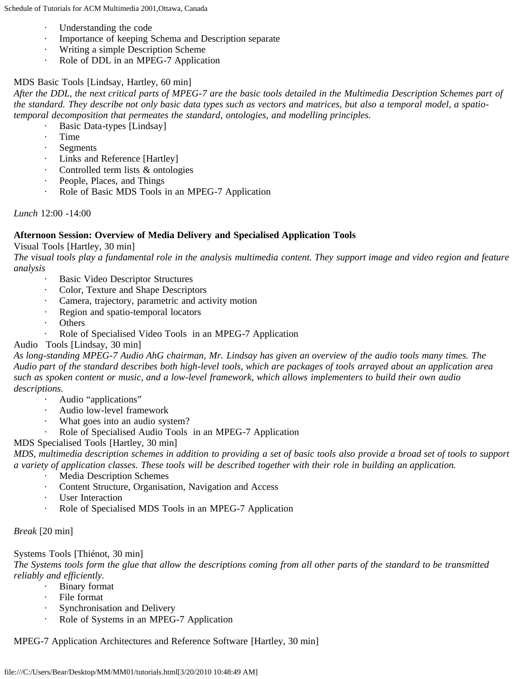- Understanding the code
- Importance of keeping Schema and Description separate
- Writing a simple Description Scheme
- · Role of DDL in an MPEG-7 Application

#### MDS Basic Tools [Lindsay, Hartley, 60 min]

*After the DDL, the next critical parts of MPEG-7 are the basic tools detailed in the Multimedia Description Schemes part of the standard. They describe not only basic data types such as vectors and matrices, but also a temporal model, a spatiotemporal decomposition that permeates the standard, ontologies, and modelling principles.*

- Basic Data-types [Lindsay]
- · Time
- **Segments**
- · Links and Reference [Hartley]
- · Controlled term lists & ontologies
- · People, Places, and Things
- · Role of Basic MDS Tools in an MPEG-7 Application

*Lunch* 12:00 -14:00

#### **Afternoon Session: Overview of Media Delivery and Specialised Application Tools**

#### Visual Tools [Hartley, 30 min]

*The visual tools play a fundamental role in the analysis multimedia content. They support image and video region and feature analysis*

- Basic Video Descriptor Structures
- · Color, Texture and Shape Descriptors
- · Camera, trajectory, parametric and activity motion
- · Region and spatio-temporal locators
- · Others
- Role of Specialised Video Tools in an MPEG-7 Application

#### Audio Tools [Lindsay, 30 min]

*As long-standing MPEG-7 Audio AhG chairman, Mr. Lindsay has given an overview of the audio tools many times. The Audio part of the standard describes both high-level tools, which are packages of tools arrayed about an application area such as spoken content or music, and a low-level framework, which allows implementers to build their own audio descriptions.*

- · Audio "applications"
- · Audio low-level framework
- · What goes into an audio system?
- Role of Specialised Audio Tools in an MPEG-7 Application

MDS Specialised Tools [Hartley, 30 min]

*MDS, multimedia description schemes in addition to providing a set of basic tools also provide a broad set of tools to support a variety of application classes. These tools will be described together with their role in building an application.*

- · Media Description Schemes
- · Content Structure, Organisation, Navigation and Access
- · User Interaction
- Role of Specialised MDS Tools in an MPEG-7 Application

#### *Break* [20 min]

#### Systems Tools [Thiénot, 30 min]

*The Systems tools form the glue that allow the descriptions coming from all other parts of the standard to be transmitted reliably and efficiently.*

- · Binary format
- · File format
- · Synchronisation and Delivery
- Role of Systems in an MPEG-7 Application

MPEG-7 Application Architectures and Reference Software [Hartley, 30 min]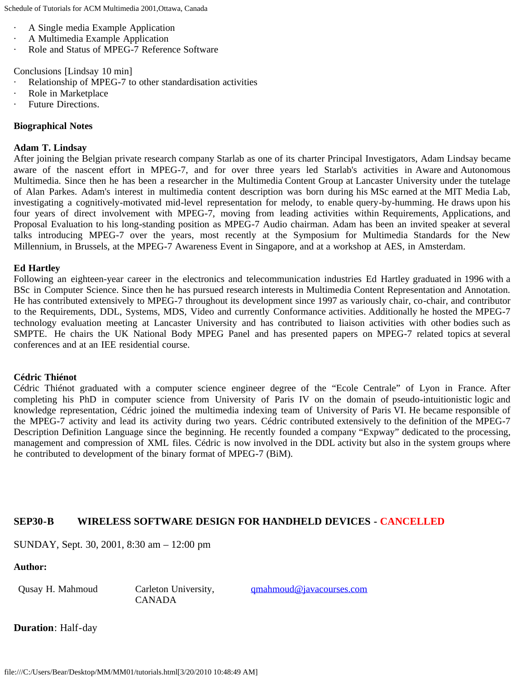Schedule of Tutorials for ACM Multimedia 2001,Ottawa, Canada

- A Single media Example Application
- · A Multimedia Example Application
- Role and Status of MPEG-7 Reference Software

Conclusions [Lindsay 10 min]

- Relationship of MPEG-7 to other standardisation activities
- · Role in Marketplace
- Future Directions.

#### **Biographical Notes**

#### **Adam T. Lindsay**

After joining the Belgian private research company Starlab as one of its charter Principal Investigators, Adam Lindsay became aware of the nascent effort in MPEG-7, and for over three years led Starlab's activities in Aware and Autonomous Multimedia. Since then he has been a researcher in the Multimedia Content Group at Lancaster University under the tutelage of Alan Parkes. Adam's interest in multimedia content description was born during his MSc earned at the MIT Media Lab, investigating a cognitively-motivated mid-level representation for melody, to enable query-by-humming. He draws upon his four years of direct involvement with MPEG-7, moving from leading activities within Requirements, Applications, and Proposal Evaluation to his long-standing position as MPEG-7 Audio chairman. Adam has been an invited speaker at several talks introducing MPEG-7 over the years, most recently at the Symposium for Multimedia Standards for the New Millennium, in Brussels, at the MPEG-7 Awareness Event in Singapore, and at a workshop at AES, in Amsterdam.

#### **Ed Hartley**

Following an eighteen-year career in the electronics and telecommunication industries Ed Hartley graduated in 1996 with a BSc in Computer Science. Since then he has pursued research interests in Multimedia Content Representation and Annotation. He has contributed extensively to MPEG-7 throughout its development since 1997 as variously chair, co-chair, and contributor to the Requirements, DDL, Systems, MDS, Video and currently Conformance activities. Additionally he hosted the MPEG-7 technology evaluation meeting at Lancaster University and has contributed to liaison activities with other bodies such as SMPTE. He chairs the UK National Body MPEG Panel and has presented papers on MPEG-7 related topics at several conferences and at an IEE residential course.

#### **Cédric Thiénot**

Cédric Thiénot graduated with a computer science engineer degree of the "Ecole Centrale" of Lyon in France. After completing his PhD in computer science from University of Paris IV on the domain of pseudo-intuitionistic logic and knowledge representation, Cédric joined the multimedia indexing team of University of Paris VI. He became responsible of the MPEG-7 activity and lead its activity during two years. Cédric contributed extensively to the definition of the MPEG-7 Description Definition Language since the beginning. He recently founded a company "Expway" dedicated to the processing, management and compression of XML files. Cédric is now involved in the DDL activity but also in the system groups where he contributed to development of the binary format of MPEG-7 (BiM).

### <span id="page-8-0"></span>**SEP30-B WIRELESS SOFTWARE DESIGN FOR HANDHELD DEVICES - CANCELLED**

SUNDAY, Sept. 30, 2001, 8:30 am – 12:00 pm

**Author:**

Qusay H. Mahmoud Carleton University,

CANADA

[qmahmoud@javacourses.com](file:///C:/Users/Bear/Desktop/MM/MM01/..\Attachments\qmahmoud@javacourses.com)

**Duration**: Half-day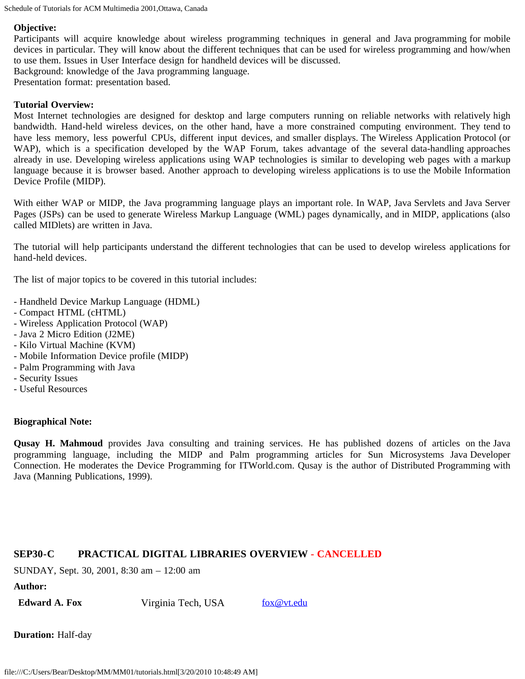#### **Objective:**

Participants will acquire knowledge about wireless programming techniques in general and Java programming for mobile devices in particular. They will know about the different techniques that can be used for wireless programming and how/when to use them. Issues in User Interface design for handheld devices will be discussed.

Background: knowledge of the Java programming language.

Presentation format: presentation based.

#### **Tutorial Overview:**

Most Internet technologies are designed for desktop and large computers running on reliable networks with relatively high bandwidth. Hand-held wireless devices, on the other hand, have a more constrained computing environment. They tend to have less memory, less powerful CPUs, different input devices, and smaller displays. The Wireless Application Protocol (or WAP), which is a specification developed by the WAP Forum, takes advantage of the several data-handling approaches already in use. Developing wireless applications using WAP technologies is similar to developing web pages with a markup language because it is browser based. Another approach to developing wireless applications is to use the Mobile Information Device Profile (MIDP).

With either WAP or MIDP, the Java programming language plays an important role. In WAP, Java Servlets and Java Server Pages (JSPs) can be used to generate Wireless Markup Language (WML) pages dynamically, and in MIDP, applications (also called MIDlets) are written in Java.

The tutorial will help participants understand the different technologies that can be used to develop wireless applications for hand-held devices.

The list of major topics to be covered in this tutorial includes:

- Handheld Device Markup Language (HDML)
- Compact HTML (cHTML)
- Wireless Application Protocol (WAP)
- Java 2 Micro Edition (J2ME)
- Kilo Virtual Machine (KVM)
- Mobile Information Device profile (MIDP)
- Palm Programming with Java
- Security Issues
- Useful Resources

#### **Biographical Note:**

**Qusay H. Mahmoud** provides Java consulting and training services. He has published dozens of articles on the Java programming language, including the MIDP and Palm programming articles for Sun Microsystems Java Developer Connection. He moderates the Device Programming for ITWorld.com. Qusay is the author of Distributed Programming with Java (Manning Publications, 1999).

#### <span id="page-9-0"></span>**SEP30-C PRACTICAL DIGITAL LIBRARIES OVERVIEW - CANCELLED**

SUNDAY, Sept. 30, 2001, 8:30 am – 12:00 am

**Author:**

**Edward A. Fox** Virginia Tech, USA fox @vt.edu

**Duration:** Half-day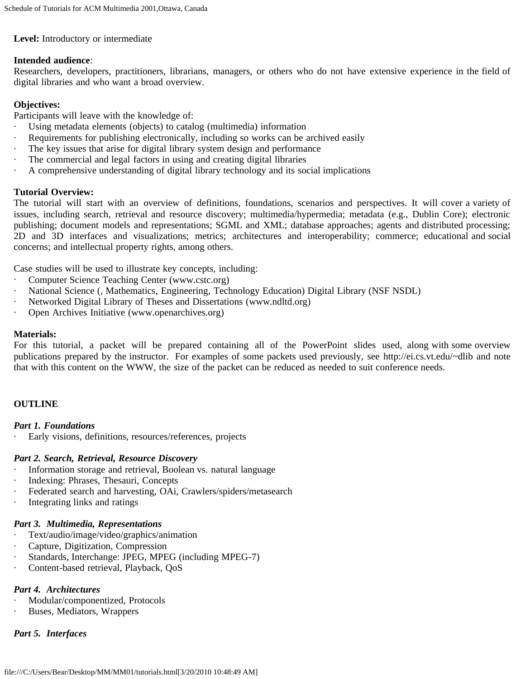#### **Level:** Introductory or intermediate

#### **Intended audience**:

Researchers, developers, practitioners, librarians, managers, or others who do not have extensive experience in the field of digital libraries and who want a broad overview.

#### **Objectives:**

Participants will leave with the knowledge of:

- Using metadata elements (objects) to catalog (multimedia) information
- · Requirements for publishing electronically, including so works can be archived easily
- · The key issues that arise for digital library system design and performance
- · The commercial and legal factors in using and creating digital libraries
- · A comprehensive understanding of digital library technology and its social implications

#### **Tutorial Overview:**

The tutorial will start with an overview of definitions, foundations, scenarios and perspectives. It will cover a variety of issues, including search, retrieval and resource discovery; multimedia/hypermedia; metadata (e.g., Dublin Core); electronic publishing; document models and representations; SGML and XML; database approaches; agents and distributed processing; 2D and 3D interfaces and visualizations; metrics; architectures and interoperability; commerce; educational and social concerns; and intellectual property rights, among others.

Case studies will be used to illustrate key concepts, including:

- Computer Science Teaching Center (www.cstc.org)
- · National Science (, Mathematics, Engineering, Technology Education) Digital Library (NSF NSDL)
- Networked Digital Library of Theses and Dissertations (www.ndltd.org)
- Open Archives Initiative (www.openarchives.org)

#### **Materials:**

For this tutorial, a packet will be prepared containing all of the PowerPoint slides used, along with some overview publications prepared by the instructor. For examples of some packets used previously, see http://ei.cs.vt.edu/~dlib and note that with this content on the WWW, the size of the packet can be reduced as needed to suit conference needs.

#### **OUTLINE**

#### *Part 1. Foundations*

Early visions, definitions, resources/references, projects

#### *Part 2. Search, Retrieval, Resource Discovery*

- Information storage and retrieval, Boolean vs. natural language
- · Indexing: Phrases, Thesauri, Concepts
- Federated search and harvesting, OAi, Crawlers/spiders/metasearch
- · Integrating links and ratings

#### *Part 3. Multimedia, Representations*

- · Text/audio/image/video/graphics/animation
- · Capture, Digitization, Compression
- Standards, Interchange: JPEG, MPEG (including MPEG-7)
- Content-based retrieval, Playback, QoS

#### *Part 4. Architectures*

- · Modular/componentized, Protocols
- Buses, Mediators, Wrappers

#### *Part 5. Interfaces*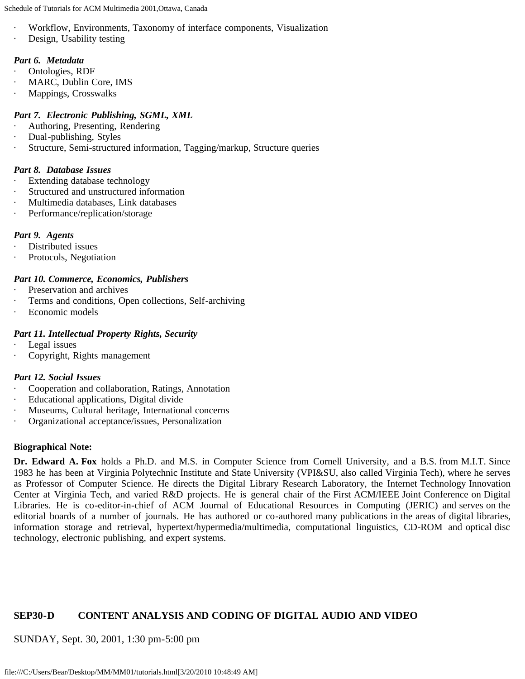Schedule of Tutorials for ACM Multimedia 2001,Ottawa, Canada

- · Workflow, Environments, Taxonomy of interface components, Visualization
- Design, Usability testing

### *Part 6. Metadata*

- Ontologies, RDF
- MARC, Dublin Core, IMS
- · Mappings, Crosswalks

### *Part 7. Electronic Publishing, SGML, XML*

- Authoring, Presenting, Rendering
- Dual-publishing, Styles
- Structure, Semi-structured information, Tagging/markup, Structure queries

### *Part 8. Database Issues*

- Extending database technology
- · Structured and unstructured information
- · Multimedia databases, Link databases
- Performance/replication/storage

### *Part 9. Agents*

- Distributed issues
- Protocols, Negotiation

### *Part 10. Commerce, Economics, Publishers*

- Preservation and archives
- Terms and conditions, Open collections, Self-archiving
- Economic models

### *Part 11. Intellectual Property Rights, Security*

- Legal issues
- Copyright, Rights management

### *Part 12. Social Issues*

- Cooperation and collaboration, Ratings, Annotation
- · Educational applications, Digital divide
- Museums, Cultural heritage, International concerns
- · Organizational acceptance/issues, Personalization

### **Biographical Note:**

**Dr. Edward A. Fox** holds a Ph.D. and M.S. in Computer Science from Cornell University, and a B.S. from M.I.T. Since 1983 he has been at Virginia Polytechnic Institute and State University (VPI&SU, also called Virginia Tech), where he serves as Professor of Computer Science. He directs the Digital Library Research Laboratory, the Internet Technology Innovation Center at Virginia Tech, and varied R&D projects. He is general chair of the First ACM/IEEE Joint Conference on Digital Libraries. He is co-editor-in-chief of ACM Journal of Educational Resources in Computing (JERIC) and serves on the editorial boards of a number of journals. He has authored or co-authored many publications in the areas of digital libraries, information storage and retrieval, hypertext/hypermedia/multimedia, computational linguistics, CD-ROM and optical disc technology, electronic publishing, and expert systems.

### <span id="page-11-0"></span>**SEP30-D CONTENT ANALYSIS AND CODING OF DIGITAL AUDIO AND VIDEO**

### SUNDAY, Sept. 30, 2001, 1:30 pm-5:00 pm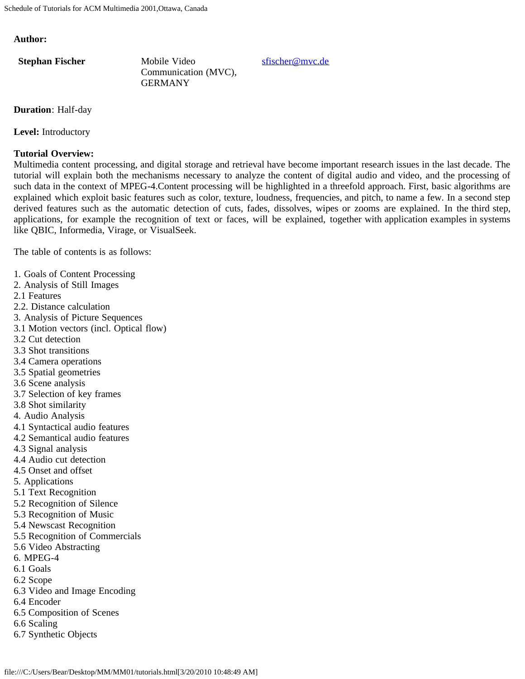**Author:**

**Stephan Fischer** Mobile Video

Communication (MVC), GERMANY

[sfischer@mvc.de](mailto:sfischer@mvc.de)

**Duration**: Half-day

**Level:** Introductory

#### **Tutorial Overview:**

Multimedia content processing, and digital storage and retrieval have become important research issues in the last decade. The tutorial will explain both the mechanisms necessary to analyze the content of digital audio and video, and the processing of such data in the context of MPEG-4.Content processing will be highlighted in a threefold approach. First, basic algorithms are explained which exploit basic features such as color, texture, loudness, frequencies, and pitch, to name a few. In a second step derived features such as the automatic detection of cuts, fades, dissolves, wipes or zooms are explained. In the third step, applications, for example the recognition of text or faces, will be explained, together with application examples in systems like QBIC, Informedia, Virage, or VisualSeek.

The table of contents is as follows:

- 1. Goals of Content Processing
- 2. Analysis of Still Images
- 2.1 Features
- 2.2. Distance calculation
- 3. Analysis of Picture Sequences
- 3.1 Motion vectors (incl. Optical flow)
- 3.2 Cut detection
- 3.3 Shot transitions
- 3.4 Camera operations
- 3.5 Spatial geometries
- 3.6 Scene analysis
- 3.7 Selection of key frames
- 3.8 Shot similarity
- 4. Audio Analysis
- 4.1 Syntactical audio features
- 4.2 Semantical audio features
- 4.3 Signal analysis
- 4.4 Audio cut detection
- 4.5 Onset and offset
- 5. Applications
- 5.1 Text Recognition
- 5.2 Recognition of Silence
- 5.3 Recognition of Music
- 5.4 Newscast Recognition
- 5.5 Recognition of Commercials
- 5.6 Video Abstracting
- 6. MPEG-4
- 6.1 Goals
- 6.2 Scope
- 6.3 Video and Image Encoding
- 6.4 Encoder
- 6.5 Composition of Scenes
- 6.6 Scaling
- 6.7 Synthetic Objects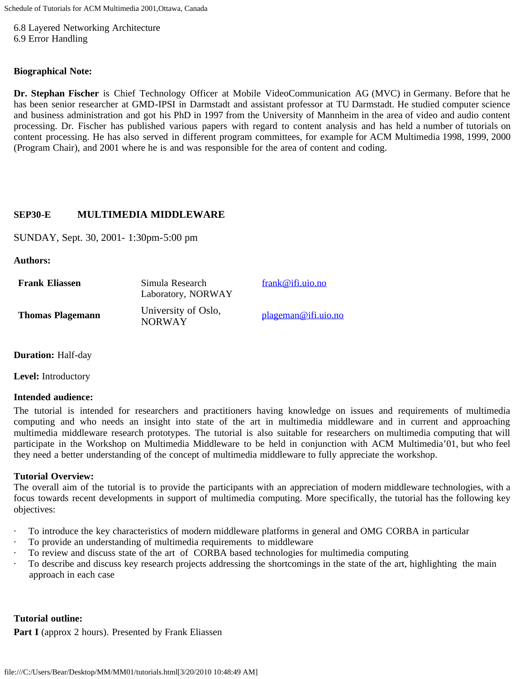Schedule of Tutorials for ACM Multimedia 2001,Ottawa, Canada

6.8 Layered Networking Architecture 6.9 Error Handling

#### **Biographical Note:**

**Dr. Stephan Fischer** is Chief Technology Officer at Mobile VideoCommunication AG (MVC) in Germany. Before that he has been senior researcher at GMD-IPSI in Darmstadt and assistant professor at TU Darmstadt. He studied computer science and business administration and got his PhD in 1997 from the University of Mannheim in the area of video and audio content processing. Dr. Fischer has published various papers with regard to content analysis and has held a number of tutorials on content processing. He has also served in different program committees, for example for ACM Multimedia 1998, 1999, 2000 (Program Chair), and 2001 where he is and was responsible for the area of content and coding.

#### <span id="page-13-0"></span>**SEP30-E MULTIMEDIA MIDDLEWARE**

SUNDAY, Sept. 30, 2001- 1:30pm-5:00 pm

**Authors:**

| <b>Frank Eliassen</b>   | Simula Research<br>Laboratory, NORWAY | frank@ifi.uio.no    |
|-------------------------|---------------------------------------|---------------------|
| <b>Thomas Plagemann</b> | University of Oslo,<br>NORWAY         | plageman@ifi.uio.no |

**Duration:** Half-day

**Level:** Introductory

#### **Intended audience:**

The tutorial is intended for researchers and practitioners having knowledge on issues and requirements of multimedia computing and who needs an insight into state of the art in multimedia middleware and in current and approaching multimedia middleware research prototypes. The tutorial is also suitable for researchers on multimedia computing that will participate in the Workshop on Multimedia Middleware to be held in conjunction with ACM Multimedia'01, but who feel they need a better understanding of the concept of multimedia middleware to fully appreciate the workshop.

#### **Tutorial Overview:**

The overall aim of the tutorial is to provide the participants with an appreciation of modern middleware technologies, with a focus towards recent developments in support of multimedia computing. More specifically, the tutorial has the following key objectives:

- · To introduce the key characteristics of modern middleware platforms in general and OMG CORBA in particular
- To provide an understanding of multimedia requirements to middleware
- · To review and discuss state of the art of CORBA based technologies for multimedia computing
- · To describe and discuss key research projects addressing the shortcomings in the state of the art, highlighting the main approach in each case

**Tutorial outline:**

Part I (approx 2 hours). Presented by Frank Eliassen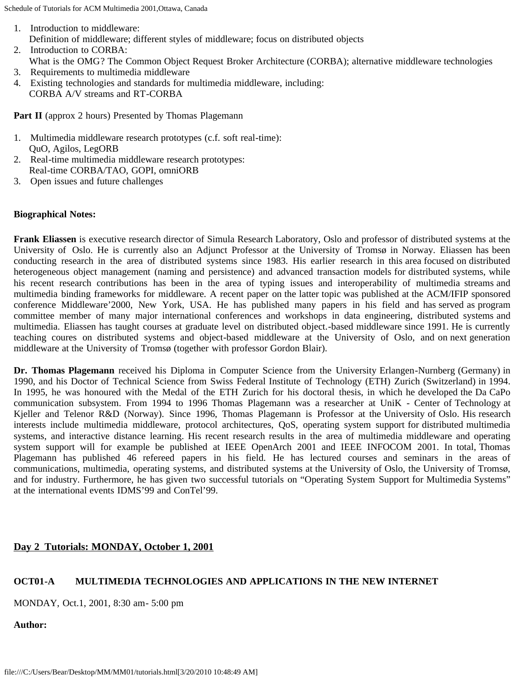Schedule of Tutorials for ACM Multimedia 2001,Ottawa, Canada

- 1. Introduction to middleware: Definition of middleware; different styles of middleware; focus on distributed objects
- 2. Introduction to CORBA: What is the OMG? The Common Object Request Broker Architecture (CORBA); alternative middleware technologies
	- 3. Requirements to multimedia middleware
	- 4. Existing technologies and standards for multimedia middleware, including: CORBA A/V streams and RT-CORBA

Part II (approx 2 hours) Presented by Thomas Plagemann

- 1. Multimedia middleware research prototypes (c.f. soft real-time): QuO, Agilos, LegORB
- 2. Real-time multimedia middleware research prototypes: Real-time CORBA/TAO, GOPI, omniORB
- 3. Open issues and future challenges

#### **Biographical Notes:**

**Frank Eliassen** is executive research director of Simula Research Laboratory, Oslo and professor of distributed systems at the University of Oslo. He is currently also an Adjunct Professor at the University of Tromsø in Norway. Eliassen has been conducting research in the area of distributed systems since 1983. His earlier research in this area focused on distributed heterogeneous object management (naming and persistence) and advanced transaction models for distributed systems, while his recent research contributions has been in the area of typing issues and interoperability of multimedia streams and multimedia binding frameworks for middleware. A recent paper on the latter topic was published at the ACM/IFIP sponsored conference Middleware'2000, New York, USA. He has published many papers in his field and has served as program committee member of many major international conferences and workshops in data engineering, distributed systems and multimedia. Eliassen has taught courses at graduate level on distributed object.-based middleware since 1991. He is currently teaching coures on distributed systems and object-based middleware at the University of Oslo, and on next generation middleware at the University of Tromsø (together with professor Gordon Blair).

**Dr. Thomas Plagemann** received his Diploma in Computer Science from the University Erlangen-Nurnberg (Germany) in 1990, and his Doctor of Technical Science from Swiss Federal Institute of Technology (ETH) Zurich (Switzerland) in 1994. In 1995, he was honoured with the Medal of the ETH Zurich for his doctoral thesis, in which he developed the Da CaPo communication subsystem. From 1994 to 1996 Thomas Plagemann was a researcher at UniK - Center of Technology at Kjeller and Telenor R&D (Norway). Since 1996, Thomas Plagemann is Professor at the University of Oslo. His research interests include multimedia middleware, protocol architectures, QoS, operating system support for distributed multimedia systems, and interactive distance learning. His recent research results in the area of multimedia middleware and operating system support will for example be published at IEEE OpenArch 2001 and IEEE INFOCOM 2001. In total, Thomas Plagemann has published 46 refereed papers in his field. He has lectured courses and seminars in the areas of communications, multimedia, operating systems, and distributed systems at the University of Oslo, the University of Tromsø, and for industry. Furthermore, he has given two successful tutorials on "Operating System Support for Multimedia Systems" at the international events IDMS'99 and ConTel'99.

### **Day 2 Tutorials: MONDAY, October 1, 2001**

#### <span id="page-14-0"></span>**OCT01-A MULTIMEDIA TECHNOLOGIES AND APPLICATIONS IN THE NEW INTERNET**

MONDAY, Oct.1, 2001, 8:30 am- 5:00 pm

**Author:**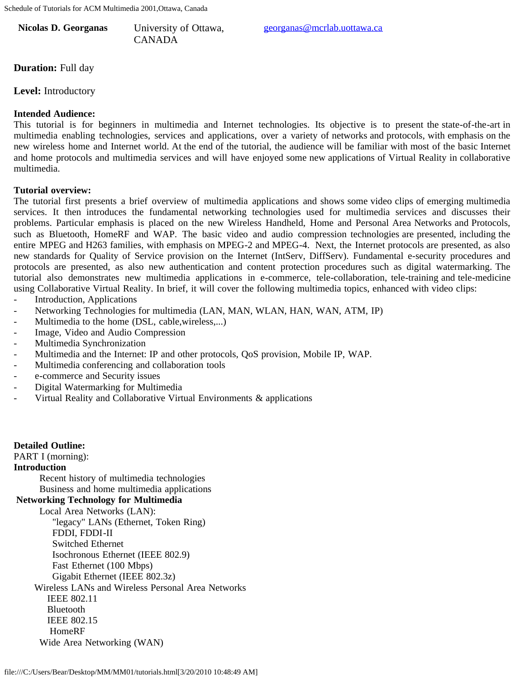| <b>Nicolas D. Georganas</b> | University of Ottawa, |
|-----------------------------|-----------------------|
|                             | CANADA                |

**Duration:** Full day

**Level:** Introductory

#### **Intended Audience:**

This tutorial is for beginners in multimedia and Internet technologies. Its objective is to present the state-of-the-art in multimedia enabling technologies, services and applications, over a variety of networks and protocols, with emphasis on the new wireless home and Internet world. At the end of the tutorial, the audience will be familiar with most of the basic Internet and home protocols and multimedia services and will have enjoyed some new applications of Virtual Reality in collaborative multimedia.

#### **Tutorial overview:**

The tutorial first presents a brief overview of multimedia applications and shows some video clips of emerging multimedia services. It then introduces the fundamental networking technologies used for multimedia services and discusses their problems. Particular emphasis is placed on the new Wireless Handheld, Home and Personal Area Networks and Protocols, such as Bluetooth, HomeRF and WAP. The basic video and audio compression technologies are presented, including the entire MPEG and H263 families, with emphasis on MPEG-2 and MPEG-4. Next, the Internet protocols are presented, as also new standards for Quality of Service provision on the Internet (IntServ, DiffServ). Fundamental e-security procedures and protocols are presented, as also new authentication and content protection procedures such as digital watermarking. The tutorial also demonstrates new multimedia applications in e-commerce, tele-collaboration, tele-training and tele-medicine using Collaborative Virtual Reality. In brief, it will cover the following multimedia topics, enhanced with video clips:

- Introduction, Applications
- Networking Technologies for multimedia (LAN, MAN, WLAN, HAN, WAN, ATM, IP)
- Multimedia to the home (DSL, cable,wireless,...)
- Image, Video and Audio Compression
- Multimedia Synchronization
- Multimedia and the Internet: IP and other protocols, QoS provision, Mobile IP, WAP.
- Multimedia conferencing and collaboration tools
- e-commerce and Security issues
- Digital Watermarking for Multimedia
- Virtual Reality and Collaborative Virtual Environments & applications

#### **Detailed Outline:**

PART I (morning): **Introduction**  Recent history of multimedia technologies Business and home multimedia applications

#### **Networking Technology for Multimedia**

 Local Area Networks (LAN): "legacy" LANs (Ethernet, Token Ring) FDDI, FDDI-II Switched Ethernet Isochronous Ethernet (IEEE 802.9) Fast Ethernet (100 Mbps) Gigabit Ethernet (IEEE 802.3z) Wireless LANs and Wireless Personal Area Networks IEEE 802.11 Bluetooth IEEE 802.15 HomeRF Wide Area Networking (WAN)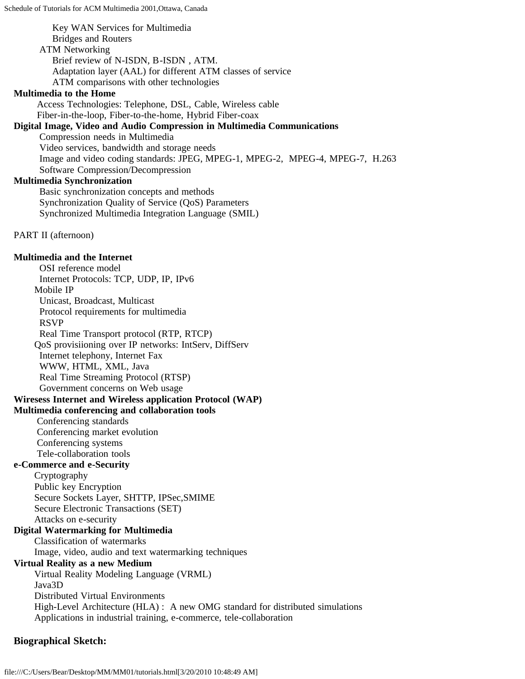Key WAN Services for Multimedia Bridges and Routers ATM Networking Brief review of N-ISDN, B-ISDN , ATM. Adaptation layer (AAL) for different ATM classes of service ATM comparisons with other technologies

#### **Multimedia to the Home**

 Access Technologies: Telephone, DSL, Cable, Wireless cable Fiber-in-the-loop, Fiber-to-the-home, Hybrid Fiber-coax

#### **Digital Image, Video and Audio Compression in Multimedia Communications**

 Compression needs in Multimedia Video services, bandwidth and storage needs Image and video coding standards: JPEG, MPEG-1, MPEG-2, MPEG-4, MPEG-7, H.263 Software Compression/Decompression

#### **Multimedia Synchronization**

 Basic synchronization concepts and methods Synchronization Quality of Service (QoS) Parameters Synchronized Multimedia Integration Language (SMIL)

PART II (afternoon)

#### **Multimedia and the Internet**

 OSI reference model Internet Protocols: TCP, UDP, IP, IPv6 Mobile IP Unicast, Broadcast, Multicast Protocol requirements for multimedia RSVP Real Time Transport protocol (RTP, RTCP) QoS provisiioning over IP networks: IntServ, DiffServ Internet telephony, Internet Fax WWW, HTML, XML, Java Real Time Streaming Protocol (RTSP) Government concerns on Web usage **Wiresess Internet and Wireless application Protocol (WAP) Multimedia conferencing and collaboration tools** Conferencing standards Conferencing market evolution Conferencing systems Tele-collaboration tools **e-Commerce and e-Security** Cryptography Public key Encryption Secure Sockets Layer, SHTTP, IPSec,SMIME Secure Electronic Transactions (SET) Attacks on e-security **Digital Watermarking for Multimedia** Classification of watermarks Image, video, audio and text watermarking techniques **Virtual Reality as a new Medium** Virtual Reality Modeling Language (VRML) Java3D Distributed Virtual Environments High-Level Architecture (HLA) : A new OMG standard for distributed simulations Applications in industrial training, e-commerce, tele-collaboration

#### **Biographical Sketch:**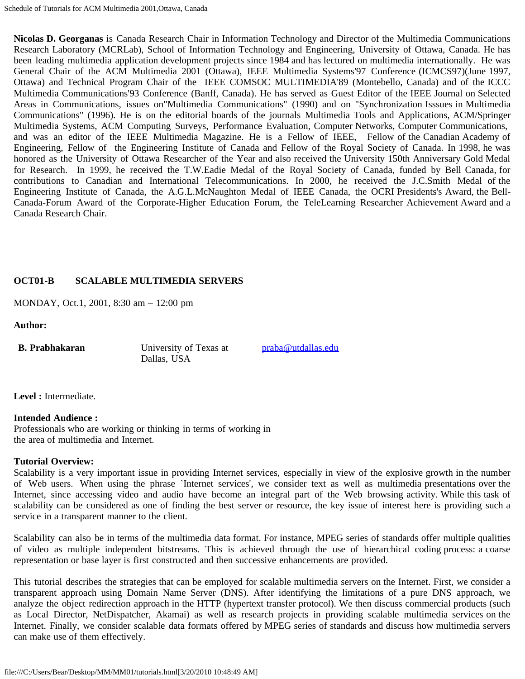**Nicolas D. Georganas** is Canada Research Chair in Information Technology and Director of the Multimedia Communications Research Laboratory (MCRLab), School of Information Technology and Engineering, University of Ottawa, Canada. He has been leading multimedia application development projects since 1984 and has lectured on multimedia internationally. He was General Chair of the ACM Multimedia 2001 (Ottawa), IEEE Multimedia Systems'97 Conference (ICMCS97)(June 1997, Ottawa) and Technical Program Chair of the IEEE COMSOC MULTIMEDIA'89 (Montebello, Canada) and of the ICCC Multimedia Communications'93 Conference (Banff, Canada). He has served as Guest Editor of the IEEE Journal on Selected Areas in Communications, issues on"Multimedia Communications" (1990) and on "Synchronization Isssues in Multimedia Communications" (1996). He is on the editorial boards of the journals Multimedia Tools and Applications, ACM/Springer Multimedia Systems, ACM Computing Surveys, Performance Evaluation, Computer Networks, Computer Communications, and was an editor of the IEEE Multimedia Magazine. He is a Fellow of IEEE, Fellow of the Canadian Academy of Engineering, Fellow of the Engineering Institute of Canada and Fellow of the Royal Society of Canada. In 1998, he was honored as the University of Ottawa Researcher of the Year and also received the University 150th Anniversary Gold Medal for Research. In 1999, he received the T.W.Eadie Medal of the Royal Society of Canada, funded by Bell Canada, for contributions to Canadian and International Telecommunications. In 2000, he received the J.C.Smith Medal of the Engineering Institute of Canada, the A.G.L.McNaughton Medal of IEEE Canada, the OCRI Presidents's Award, the Bell-Canada-Forum Award of the Corporate-Higher Education Forum, the TeleLearning Researcher Achievement Award and a Canada Research Chair.

#### <span id="page-17-0"></span>**OCT01-B SCALABLE MULTIMEDIA SERVERS**

MONDAY, Oct.1, 2001, 8:30 am – 12:00 pm

**Author:**

**B. Prabhakaran** University of Texas at Dallas, USA

[praba@utdallas.edu](file:///C:/Users/Bear/Desktop/MM/MM01/..\Attachments\praba@utdallas.edu)

**Level :** Intermediate.

**Intended Audience :** Professionals who are working or thinking in terms of working in the area of multimedia and Internet.

#### **Tutorial Overview:**

Scalability is a very important issue in providing Internet services, especially in view of the explosive growth in the number of Web users. When using the phrase `Internet services', we consider text as well as multimedia presentations over the Internet, since accessing video and audio have become an integral part of the Web browsing activity. While this task of scalability can be considered as one of finding the best server or resource, the key issue of interest here is providing such a service in a transparent manner to the client.

Scalability can also be in terms of the multimedia data format. For instance, MPEG series of standards offer multiple qualities of video as multiple independent bitstreams. This is achieved through the use of hierarchical coding process: a coarse representation or base layer is first constructed and then successive enhancements are provided.

This tutorial describes the strategies that can be employed for scalable multimedia servers on the Internet. First, we consider a transparent approach using Domain Name Server (DNS). After identifying the limitations of a pure DNS approach, we analyze the object redirection approach in the HTTP (hypertext transfer protocol). We then discuss commercial products (such as Local Director, NetDispatcher, Akamai) as well as research projects in providing scalable multimedia services on the Internet. Finally, we consider scalable data formats offered by MPEG series of standards and discuss how multimedia servers can make use of them effectively.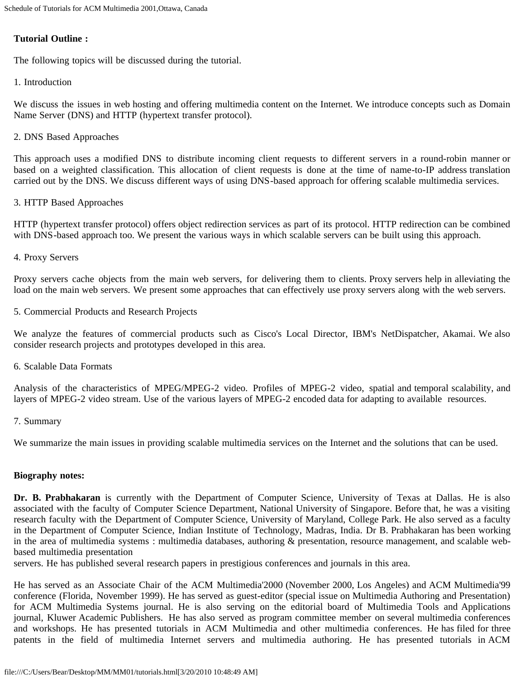### **Tutorial Outline :**

The following topics will be discussed during the tutorial.

### 1. Introduction

We discuss the issues in web hosting and offering multimedia content on the Internet. We introduce concepts such as Domain Name Server (DNS) and HTTP (hypertext transfer protocol).

### 2. DNS Based Approaches

This approach uses a modified DNS to distribute incoming client requests to different servers in a round-robin manner or based on a weighted classification. This allocation of client requests is done at the time of name-to-IP address translation carried out by the DNS. We discuss different ways of using DNS-based approach for offering scalable multimedia services.

### 3. HTTP Based Approaches

HTTP (hypertext transfer protocol) offers object redirection services as part of its protocol. HTTP redirection can be combined with DNS-based approach too. We present the various ways in which scalable servers can be built using this approach.

4. Proxy Servers

Proxy servers cache objects from the main web servers, for delivering them to clients. Proxy servers help in alleviating the load on the main web servers. We present some approaches that can effectively use proxy servers along with the web servers.

5. Commercial Products and Research Projects

We analyze the features of commercial products such as Cisco's Local Director, IBM's NetDispatcher, Akamai. We also consider research projects and prototypes developed in this area.

#### 6. Scalable Data Formats

Analysis of the characteristics of MPEG/MPEG-2 video. Profiles of MPEG-2 video, spatial and temporal scalability, and layers of MPEG-2 video stream. Use of the various layers of MPEG-2 encoded data for adapting to available resources.

#### 7. Summary

We summarize the main issues in providing scalable multimedia services on the Internet and the solutions that can be used.

#### **Biography notes:**

**Dr. B. Prabhakaran** is currently with the Department of Computer Science, University of Texas at Dallas. He is also associated with the faculty of Computer Science Department, National University of Singapore. Before that, he was a visiting research faculty with the Department of Computer Science, University of Maryland, College Park. He also served as a faculty in the Department of Computer Science, Indian Institute of Technology, Madras, India. Dr B. Prabhakaran has been working in the area of multimedia systems : multimedia databases, authoring & presentation, resource management, and scalable webbased multimedia presentation

servers. He has published several research papers in prestigious conferences and journals in this area.

He has served as an Associate Chair of the ACM Multimedia'2000 (November 2000, Los Angeles) and ACM Multimedia'99 conference (Florida, November 1999). He has served as guest-editor (special issue on Multimedia Authoring and Presentation) for ACM Multimedia Systems journal. He is also serving on the editorial board of Multimedia Tools and Applications journal, Kluwer Academic Publishers. He has also served as program committee member on several multimedia conferences and workshops. He has presented tutorials in ACM Multimedia and other multimedia conferences. He has filed for three patents in the field of multimedia Internet servers and multimedia authoring. He has presented tutorials in ACM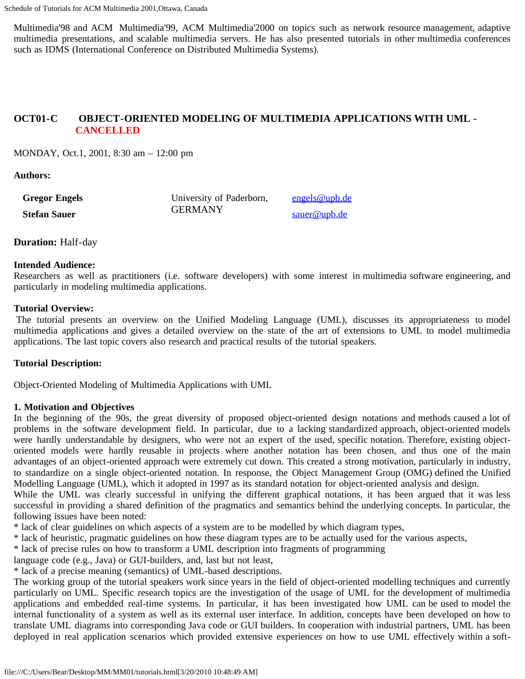Schedule of Tutorials for ACM Multimedia 2001,Ottawa, Canada

Multimedia'98 and ACM Multimedia'99, ACM Multimedia'2000 on topics such as network resource management, adaptive multimedia presentations, and scalable multimedia servers. He has also presented tutorials in other multimedia conferences such as IDMS (International Conference on Distributed Multimedia Systems).

### <span id="page-19-0"></span>**OCT01-C OBJECT-ORIENTED MODELING OF MULTIMEDIA APPLICATIONS WITH UML - CANCELLED**

MONDAY, Oct.1, 2001, 8:30 am – 12:00 pm

**Authors:**

| <b>Gregor Engels</b> | University of Paderborn, | engels@upb.de |
|----------------------|--------------------------|---------------|
| <b>Stefan Sauer</b>  | <b>GERMANY</b>           | sauer@upb.de  |

**Duration:** Half-day

#### **Intended Audience:**

Researchers as well as practitioners (i.e. software developers) with some interest in multimedia software engineering, and particularly in modeling multimedia applications.

#### **Tutorial Overview:**

The tutorial presents an overview on the Unified Modeling Language (UML), discusses its appropriateness to model multimedia applications and gives a detailed overview on the state of the art of extensions to UML to model multimedia applications. The last topic covers also research and practical results of the tutorial speakers.

#### **Tutorial Description:**

Object-Oriented Modeling of Multimedia Applications with UML

#### **1. Motivation and Objectives**

In the beginning of the 90s, the great diversity of proposed object-oriented design notations and methods caused a lot of problems in the software development field. In particular, due to a lacking standardized approach, object-oriented models were hardly understandable by designers, who were not an expert of the used, specific notation. Therefore, existing objectoriented models were hardly reusable in projects where another notation has been chosen, and thus one of the main advantages of an object-oriented approach were extremely cut down. This created a strong motivation, particularly in industry, to standardize on a single object-oriented notation. In response, the Object Management Group (OMG) defined the Unified Modelling Language (UML), which it adopted in 1997 as its standard notation for object-oriented analysis and design.

While the UML was clearly successful in unifying the different graphical notations, it has been argued that it was less successful in providing a shared definition of the pragmatics and semantics behind the underlying concepts. In particular, the following issues have been noted:

\* lack of clear guidelines on which aspects of a system are to be modelled by which diagram types,

\* lack of heuristic, pragmatic guidelines on how these diagram types are to be actually used for the various aspects,

\* lack of precise rules on how to transform a UML description into fragments of programming

language code (e.g., Java) or GUI-builders, and, last but not least,

\* lack of a precise meaning (semantics) of UML-based descriptions.

The working group of the tutorial speakers work since years in the field of object-oriented modelling techniques and currently particularly on UML. Specific research topics are the investigation of the usage of UML for the development of multimedia applications and embedded real-time systems. In particular, it has been investigated how UML can be used to model the internal functionality of a system as well as its external user interface. In addition, concepts have been developed on how to translate UML diagrams into corresponding Java code or GUI builders. In cooperation with industrial partners, UML has been deployed in real application scenarios which provided extensive experiences on how to use UML effectively within a soft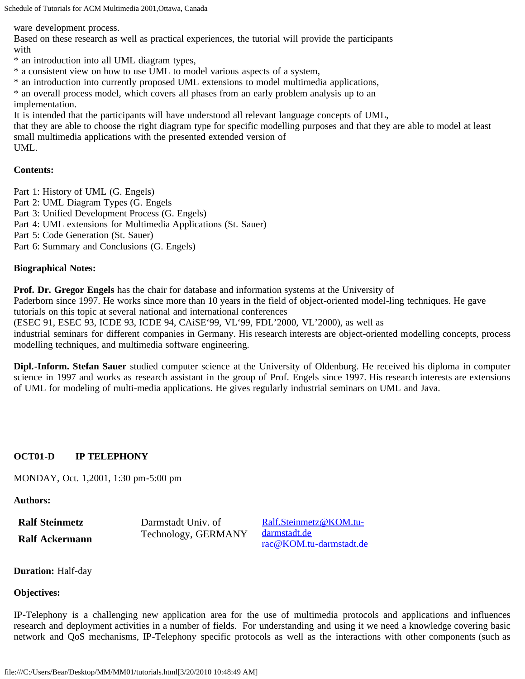Schedule of Tutorials for ACM Multimedia 2001,Ottawa, Canada

ware development process.

Based on these research as well as practical experiences, the tutorial will provide the participants with

\* an introduction into all UML diagram types,

\* a consistent view on how to use UML to model various aspects of a system,

\* an introduction into currently proposed UML extensions to model multimedia applications,

\* an overall process model, which covers all phases from an early problem analysis up to an

implementation.

It is intended that the participants will have understood all relevant language concepts of UML,

that they are able to choose the right diagram type for specific modelling purposes and that they are able to model at least small multimedia applications with the presented extended version of UML.

**Contents:**

Part 1: History of UML (G. Engels) Part 2: UML Diagram Types (G. Engels Part 3: Unified Development Process (G. Engels) Part 4: UML extensions for Multimedia Applications (St. Sauer) Part 5: Code Generation (St. Sauer) Part 6: Summary and Conclusions (G. Engels)

### **Biographical Notes:**

**Prof. Dr. Gregor Engels** has the chair for database and information systems at the University of Paderborn since 1997. He works since more than 10 years in the field of object-oriented model-ling techniques. He gave tutorials on this topic at several national and international conferences (ESEC 91, ESEC 93, ICDE 93, ICDE 94, CAiSE'99, VL'99, FDL'2000, VL'2000), as well as

industrial seminars for different companies in Germany. His research interests are object-oriented modelling concepts, process modelling techniques, and multimedia software engineering.

**Dipl.-Inform. Stefan Sauer** studied computer science at the University of Oldenburg. He received his diploma in computer science in 1997 and works as research assistant in the group of Prof. Engels since 1997. His research interests are extensions of UML for modeling of multi-media applications. He gives regularly industrial seminars on UML and Java.

#### <span id="page-20-0"></span>**OCT01-D IP TELEPHONY**

MONDAY, Oct. 1,2001, 1:30 pm-5:00 pm

**Authors:**

**Ralf Steinmetz Ralf Ackermann** Darmstadt Univ. of Technology, GERMANY [Ralf.Steinmetz@KOM.tu](mailto:Ralf.Steinmetz@KOM.tu-darmstadt.de)[darmstadt.de](mailto:Ralf.Steinmetz@KOM.tu-darmstadt.de) [rac@KOM.tu-darmstadt.de](mailto:rac@KOM.tu-darmstadt.de)

**Duration:** Half-day

#### **Objectives:**

IP-Telephony is a challenging new application area for the use of multimedia protocols and applications and influences research and deployment activities in a number of fields. For understanding and using it we need a knowledge covering basic network and QoS mechanisms, IP-Telephony specific protocols as well as the interactions with other components (such as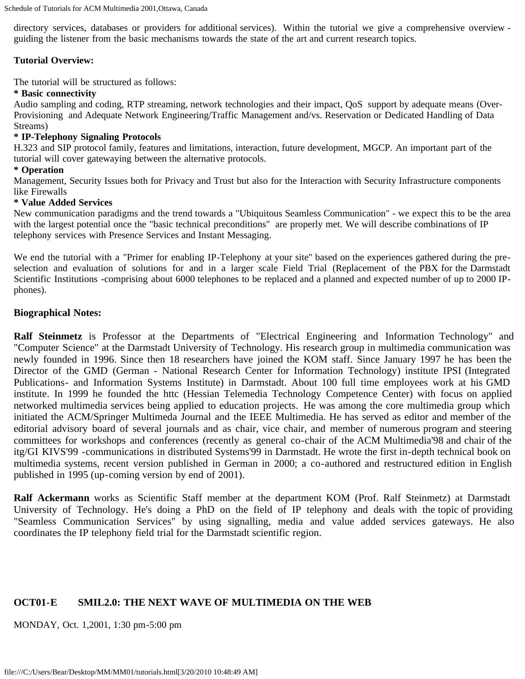directory services, databases or providers for additional services). Within the tutorial we give a comprehensive overview guiding the listener from the basic mechanisms towards the state of the art and current research topics.

#### **Tutorial Overview:**

The tutorial will be structured as follows:

#### **\* Basic connectivity**

Audio sampling and coding, RTP streaming, network technologies and their impact, QoS support by adequate means (Over-Provisioning and Adequate Network Engineering/Traffic Management and/vs. Reservation or Dedicated Handling of Data Streams)

#### **\* IP-Telephony Signaling Protocols**

H.323 and SIP protocol family, features and limitations, interaction, future development, MGCP. An important part of the tutorial will cover gatewaying between the alternative protocols.

#### **\* Operation**

Management, Security Issues both for Privacy and Trust but also for the Interaction with Security Infrastructure components like Firewalls

#### **\* Value Added Services**

New communication paradigms and the trend towards a "Ubiquitous Seamless Communication" - we expect this to be the area with the largest potential once the "basic technical preconditions" are properly met. We will describe combinations of IP telephony services with Presence Services and Instant Messaging.

We end the tutorial with a "Primer for enabling IP-Telephony at your site" based on the experiences gathered during the preselection and evaluation of solutions for and in a larger scale Field Trial (Replacement of the PBX for the Darmstadt Scientific Institutions -comprising about 6000 telephones to be replaced and a planned and expected number of up to 2000 IPphones).

### **Biographical Notes:**

**Ralf Steinmetz** is Professor at the Departments of "Electrical Engineering and Information Technology" and "Computer Science" at the Darmstadt University of Technology. His research group in multimedia communication was newly founded in 1996. Since then 18 researchers have joined the KOM staff. Since January 1997 he has been the Director of the GMD (German - National Research Center for Information Technology) institute IPSI (Integrated Publications- and Information Systems Institute) in Darmstadt. About 100 full time employees work at his GMD institute. In 1999 he founded the httc (Hessian Telemedia Technology Competence Center) with focus on applied networked multimedia services being applied to education projects. He was among the core multimedia group which initiated the ACM/Springer Multimeda Journal and the IEEE Multimedia. He has served as editor and member of the editorial advisory board of several journals and as chair, vice chair, and member of numerous program and steering committees for workshops and conferences (recently as general co-chair of the ACM Multimedia'98 and chair of the itg/GI KIVS'99 -communications in distributed Systems'99 in Darmstadt. He wrote the first in-depth technical book on multimedia systems, recent version published in German in 2000; a co-authored and restructured edition in English published in 1995 (up-coming version by end of 2001).

**Ralf Ackermann** works as Scientific Staff member at the department KOM (Prof. Ralf Steinmetz) at Darmstadt University of Technology. He's doing a PhD on the field of IP telephony and deals with the topic of providing "Seamless Communication Services" by using signalling, media and value added services gateways. He also coordinates the IP telephony field trial for the Darmstadt scientific region.

### <span id="page-21-0"></span>**OCT01-E SMIL2.0: THE NEXT WAVE OF MULTIMEDIA ON THE WEB**

MONDAY, Oct. 1,2001, 1:30 pm-5:00 pm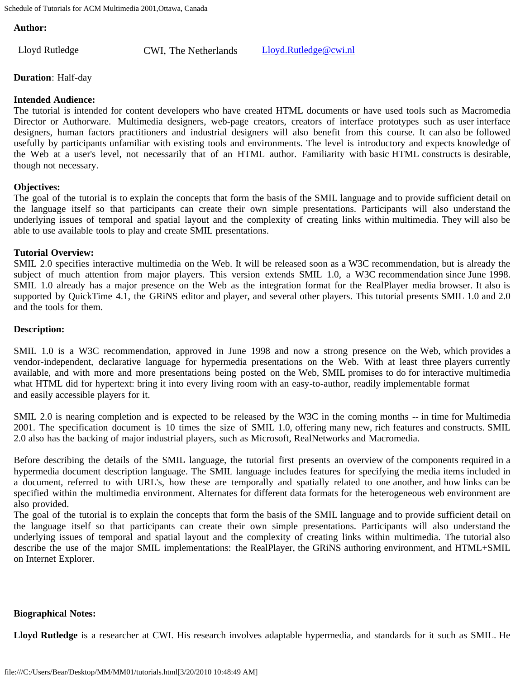#### **Author:**

Lloyd Rutledge **CWI, The Netherlands** [Lloyd.Rutledge@cwi.nl](mailto:Lloyd.Rutledge@cwi.nl)

#### **Duration**: Half-day

#### **Intended Audience:**

The tutorial is intended for content developers who have created HTML documents or have used tools such as Macromedia Director or Authorware. Multimedia designers, web-page creators, creators of interface prototypes such as user interface designers, human factors practitioners and industrial designers will also benefit from this course. It can also be followed usefully by participants unfamiliar with existing tools and environments. The level is introductory and expects knowledge of the Web at a user's level, not necessarily that of an HTML author. Familiarity with basic HTML constructs is desirable, though not necessary.

#### **Objectives:**

The goal of the tutorial is to explain the concepts that form the basis of the SMIL language and to provide sufficient detail on the language itself so that participants can create their own simple presentations. Participants will also understand the underlying issues of temporal and spatial layout and the complexity of creating links within multimedia. They will also be able to use available tools to play and create SMIL presentations.

#### **Tutorial Overview:**

SMIL 2.0 specifies interactive multimedia on the Web. It will be released soon as a W3C recommendation, but is already the subject of much attention from major players. This version extends SMIL 1.0, a W3C recommendation since June 1998. SMIL 1.0 already has a major presence on the Web as the integration format for the RealPlayer media browser. It also is supported by QuickTime 4.1, the GRiNS editor and player, and several other players. This tutorial presents SMIL 1.0 and 2.0 and the tools for them.

#### **Description:**

SMIL 1.0 is a W3C recommendation, approved in June 1998 and now a strong presence on the Web, which provides a vendor-independent, declarative language for hypermedia presentations on the Web. With at least three players currently available, and with more and more presentations being posted on the Web, SMIL promises to do for interactive multimedia what HTML did for hypertext: bring it into every living room with an easy-to-author, readily implementable format and easily accessible players for it.

SMIL 2.0 is nearing completion and is expected to be released by the W3C in the coming months -- in time for Multimedia 2001. The specification document is 10 times the size of SMIL 1.0, offering many new, rich features and constructs. SMIL 2.0 also has the backing of major industrial players, such as Microsoft, RealNetworks and Macromedia.

Before describing the details of the SMIL language, the tutorial first presents an overview of the components required in a hypermedia document description language. The SMIL language includes features for specifying the media items included in a document, referred to with URL's, how these are temporally and spatially related to one another, and how links can be specified within the multimedia environment. Alternates for different data formats for the heterogeneous web environment are also provided.

The goal of the tutorial is to explain the concepts that form the basis of the SMIL language and to provide sufficient detail on the language itself so that participants can create their own simple presentations. Participants will also understand the underlying issues of temporal and spatial layout and the complexity of creating links within multimedia. The tutorial also describe the use of the major SMIL implementations: the RealPlayer, the GRiNS authoring environment, and HTML+SMIL on Internet Explorer.

#### **Biographical Notes:**

**Lloyd Rutledge** is a researcher at CWI. His research involves adaptable hypermedia, and standards for it such as SMIL. He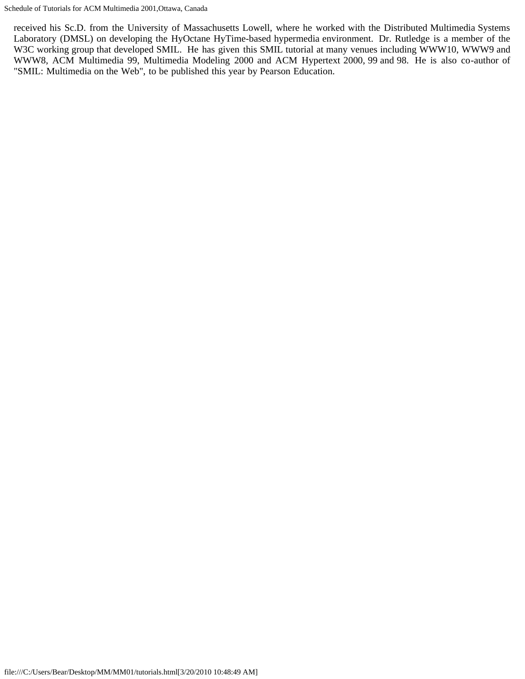Schedule of Tutorials for ACM Multimedia 2001,Ottawa, Canada

received his Sc.D. from the University of Massachusetts Lowell, where he worked with the Distributed Multimedia Systems Laboratory (DMSL) on developing the HyOctane HyTime-based hypermedia environment. Dr. Rutledge is a member of the W3C working group that developed SMIL. He has given this SMIL tutorial at many venues including WWW10, WWW9 and WWW8, ACM Multimedia 99, Multimedia Modeling 2000 and ACM Hypertext 2000, 99 and 98. He is also co-author of "SMIL: Multimedia on the Web", to be published this year by Pearson Education.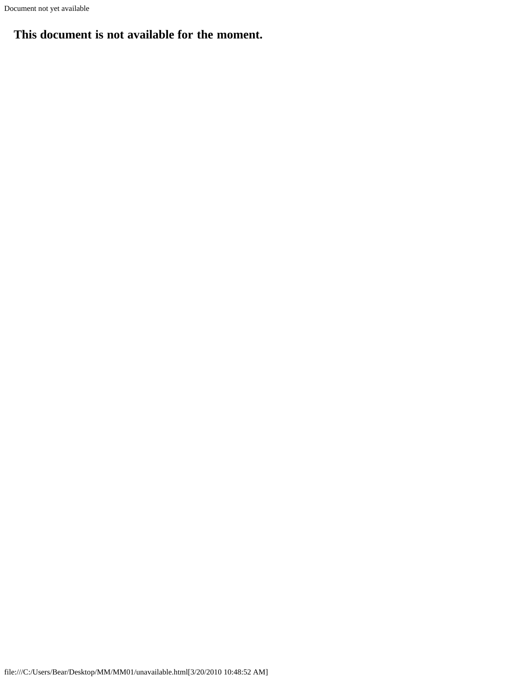### **This document is not available for the moment.**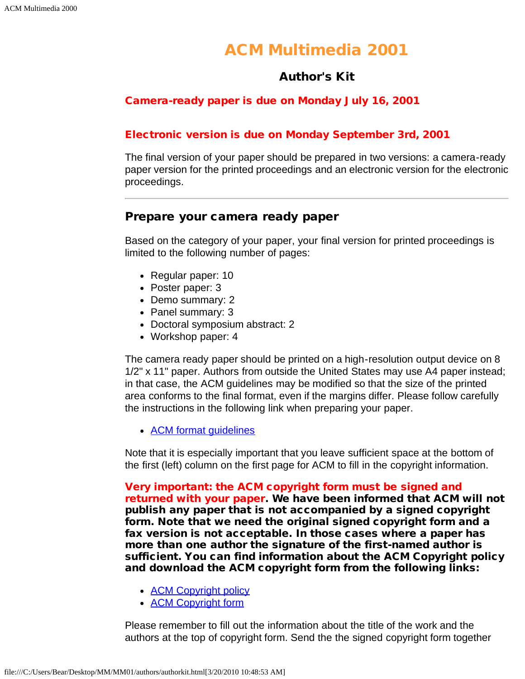# ACM Multimedia 2001

### Author's Kit

### Camera-ready paper is due on Monday July 16, 2001

### Electronic version is due on Monday September 3rd, 2001

The final version of your paper should be prepared in two versions: a camera-ready paper version for the printed proceedings and an electronic version for the electronic proceedings.

### Prepare your camera ready paper

Based on the category of your paper, your final version for printed proceedings is limited to the following number of pages:

- Regular paper: 10
- Poster paper: 3
- Demo summary: 2
- Panel summary: 3
- Doctoral symposium abstract: 2
- Workshop paper: 4

The camera ready paper should be printed on a high-resolution output device on 8 1/2" x 11" paper. Authors from outside the United States may use A4 paper instead; in that case, the ACM guidelines may be modified so that the size of the printed area conforms to the final format, even if the margins differ. Please follow carefully the instructions in the following link when preparing your paper.

• [ACM format guidelines](http://www.acm.org/sigs/pubs/proceed/template.html)

Note that it is especially important that you leave sufficient space at the bottom of the first (left) column on the first page for ACM to fill in the copyright information.

### Very important: the ACM copyright form must be signed and

returned with your paper. We have been informed that ACM will not publish any paper that is not accompanied by a signed copyright form. Note that we need the original signed copyright form and a fax version is not acceptable. In those cases where a paper has more than one author the signature of the first-named author is sufficient. You can find information about the ACM Copyright policy and download the ACM copyright form from the following links:

- **[ACM Copyright policy](http://www.acm.org/pubs/copyright_policy.html)**
- [ACM Copyright form](http://www.acm.org/pubs/copyright_form.html)

Please remember to fill out the information about the title of the work and the authors at the top of copyright form. Send the the signed copyright form together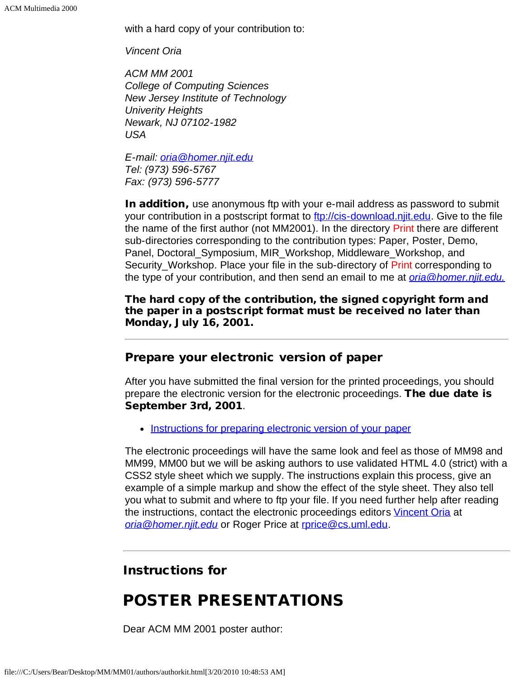with a hard copy of your contribution to:

*Vincent Oria*

*ACM MM 2001 College of Computing Sciences New Jersey Institute of Technology Univerity Heights Newark, NJ 07102-1982 USA*

*E-mail: [oria@homer.njit.edu](mailto:oria@homer.njit.edu) Tel: (973) 596-5767 Fax: (973) 596-5777*

In addition, use anonymous ftp with your e-mail address as password to submit your contribution in a postscript format to **ftp://cis-download.njit.edu**. Give to the file the name of the first author (not MM2001). In the directory Print there are different sub-directories corresponding to the contribution types: Paper, Poster, Demo, Panel, Doctoral\_Symposium, MIR\_Workshop, Middleware\_Workshop, and Security Workshop. Place your file in the sub-directory of Print corresponding to the type of your contribution, and then send an email to me at *[oria@homer.njit.edu.](mailto:oria@homer.njit.edu)*

The hard copy of the contribution, the signed copyright form and the paper in a postscript format must be received no later than Monday, July 16, 2001.

### Prepare your electronic version of paper

After you have submitted the final version for the printed proceedings, you should prepare the electronic version for the electronic proceedings. The due date is September 3rd, 2001.

• [Instructions for preparing electronic version of your paper](http://www.cis.njit.edu/~mm/ep/instructions.html)

The electronic proceedings will have the same look and feel as those of MM98 and MM99, MM00 but we will be asking authors to use validated HTML 4.0 (strict) with a CSS2 style sheet which we supply. The instructions explain this process, give an example of a simple markup and show the effect of the style sheet. They also tell you what to submit and where to ftp your file. If you need further help after reading the instructions, contact the electronic proceedings editors [Vincent Oria](mailto:oria@homer.njit.edu) at *[oria@homer.njit.edu](mailto:oria@homer.njit.edu)* or Roger Price at [rprice@cs.uml.edu.](mailto:rprice@cs.uml.edu)

### Instructions for

# POSTER PRESENTATIONS

Dear ACM MM 2001 poster author: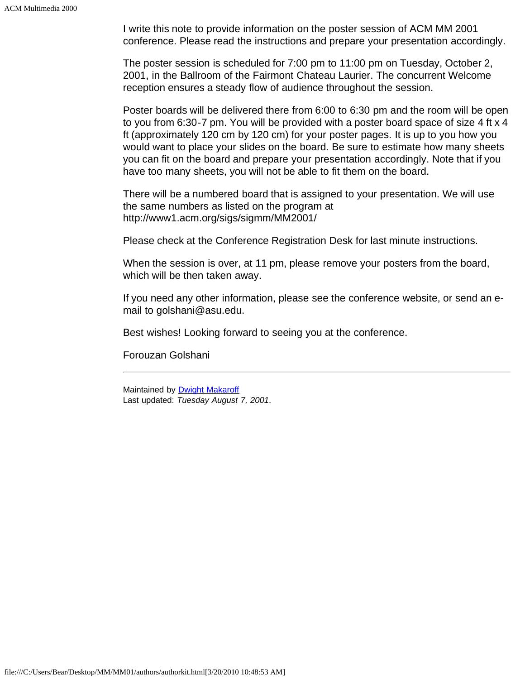I write this note to provide information on the poster session of ACM MM 2001 conference. Please read the instructions and prepare your presentation accordingly.

The poster session is scheduled for 7:00 pm to 11:00 pm on Tuesday, October 2, 2001, in the Ballroom of the Fairmont Chateau Laurier. The concurrent Welcome reception ensures a steady flow of audience throughout the session.

Poster boards will be delivered there from 6:00 to 6:30 pm and the room will be open to you from 6:30-7 pm. You will be provided with a poster board space of size 4 ft x 4 ft (approximately 120 cm by 120 cm) for your poster pages. It is up to you how you would want to place your slides on the board. Be sure to estimate how many sheets you can fit on the board and prepare your presentation accordingly. Note that if you have too many sheets, you will not be able to fit them on the board.

There will be a numbered board that is assigned to your presentation. We will use the same numbers as listed on the program at http://www1.acm.org/sigs/sigmm/MM2001/

Please check at the Conference Registration Desk for last minute instructions.

When the session is over, at 11 pm, please remove your posters from the board, which will be then taken away.

If you need any other information, please see the conference website, or send an email to golshani@asu.edu.

Best wishes! Looking forward to seeing you at the conference.

Forouzan Golshani

Maintained by **[Dwight Makaroff](mailto:makaroff@cs.usask.ca)** Last updated: *Tuesday August 7, 2001*.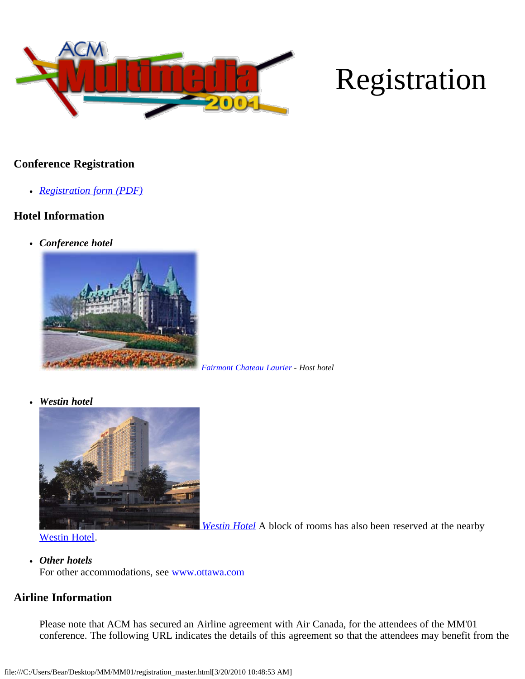

# Registration

### **Conference Registration**

*[Registration form \(PDF\)](#page-47-0)*

### **Hotel Information**

*[Conference hotel](#page-48-0)*



*[Fairmont Chateau Laurier](#page-48-0) - Host hotel*

*[Westin hotel](#page-48-0)*



*[Westin Hotel](#page-49-0)* A block of rooms has also been reserved at the nearby

[Westin Hotel.](#page-48-0)

*Other hotels* For other accommodations, see [www.ottawa.com](http://www.ottawa.com/)

### **Airline Information**

Please note that ACM has secured an Airline agreement with Air Canada, for the attendees of the MM'01 conference. The following URL indicates the details of this agreement so that the attendees may benefit from the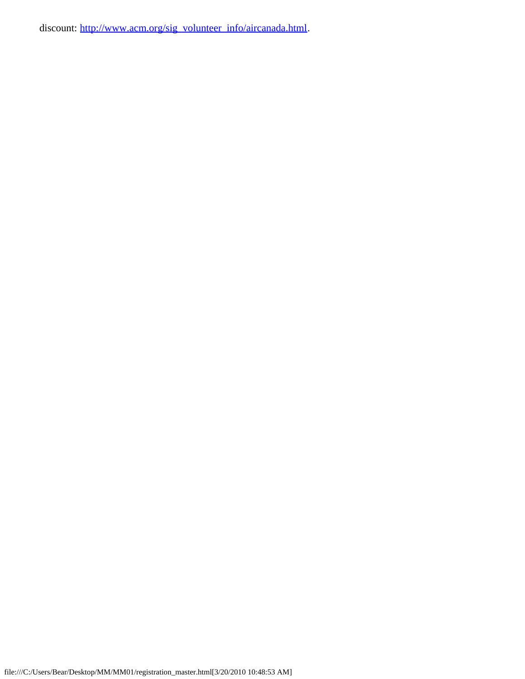discount: [http://www.acm.org/sig\\_volunteer\\_info/aircanada.html.](http://www.acm.org/sig_volunteer_info/aircanada.html)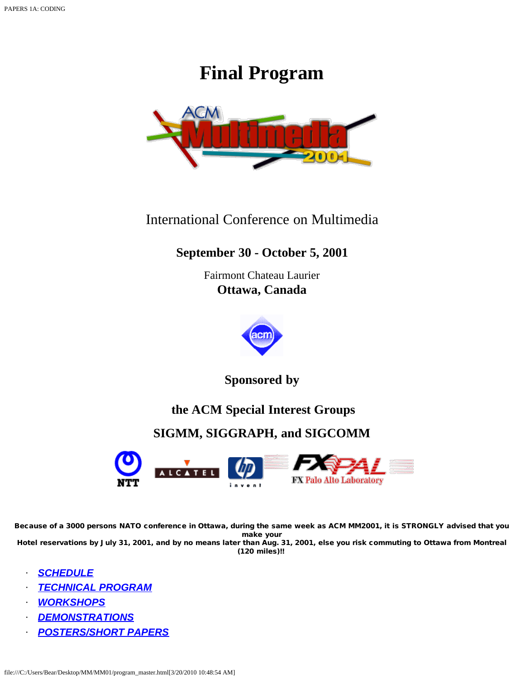# **Final Program**



### International Conference on Multimedia

### **September 30 - October 5, 2001**

Fairmont Chateau Laurier **Ottawa, Canada**



**Sponsored by**

### **the ACM Special Interest Groups**

### **SIGMM, SIGGRAPH, and SIGCOMM**



Because of a 3000 persons NATO conference in Ottawa, during the same week as ACM MM2001, it is STRONGLY advised that you make your Hotel reservations by July 31, 2001, and by no means later than Aug. 31, 2001, else you risk commuting to Ottawa from Montreal

(120 miles)!!

- · *[SCHEDULE](#page-31-0)*
- · *[TECHNICAL PROGRAM](#page-32-0)*
- · *[WORKSHOPS](#page-41-0)*
- · *[DEMONSTRATIONS](#page-39-0)*
- · *[POSTERS/SHORT PAPERS](#page-37-0)*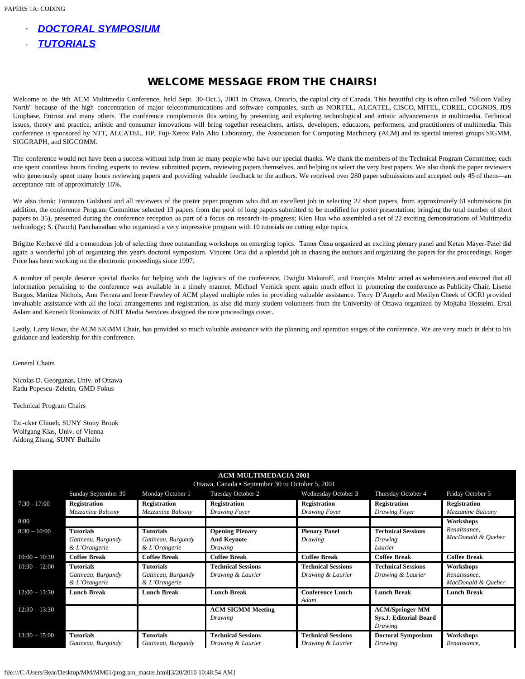- · *[DOCTORAL SYMPOSIUM](#page-37-1)*
- · *[TUTORIALS](#page-32-1)*

#### WELCOME MESSAGE FROM THE CHAIRS!

Welcome to the 9th ACM Multimedia Conference, held Sept. 30-Oct.5, 2001 in Ottawa, Ontario, the capital city of Canada. This beautiful city is often called "Silicon Valley North" because of the high concentration of major telecommunications and software companies, such as NORTEL, ALCATEL, CISCO, MITEL, COREL, COGNOS, JDS Uniphase, Entrust and many others. The conference complements this setting by presenting and exploring technological and artistic advancements in multimedia. Technical issues, theory and practice, artistic and consumer innovations will bring together researchers, artists, developers, educators, performers, and practitioners of multimedia. This conference is sponsored by NTT, ALCATEL, HP, Fuji-Xerox Palo Alto Laboratory, the Association for Computing Machinery (ACM) and its special interest groups SIGMM, SIGGRAPH, and SIGCOMM.

The conference would not have been a success without help from so many people who have our special thanks. We thank the members of the Technical Program Committee; each one spent countless hours finding experts to review submitted papers, reviewing papers themselves, and helping us select the very best papers. We also thank the paper reviewers who generously spent many hours reviewing papers and providing valuable feedback to the authors. We received over 280 paper submissions and accepted only 45 of them—an acceptance rate of approximately 16%.

We also thank: Forouzan Golshani and all reviewers of the poster paper program who did an excellent job in selecting 22 short papers, from approximately 61 submissions (in addition, the conference Program Committee selected 13 papers from the pool of long papers submitted to be modified for poster presentation; bringing the total number of short papers to 35), presented during the conference reception as part of a focus on research-in-progress; Kien Hua who assembled a set of 22 exciting demonstrations of Multimedia technology; S. (Panch) Panchanathan who organized a very impressive program with 10 tutorials on cutting edge topics.

Brigitte Kerhervé did a tremendous job of selecting three outstanding workshops on emerging topics. Tamer Özsu organized an exciting plenary panel and Ketan Mayer-Patel did again a wonderful job of organizing this year's doctoral symposium. Vincent Oria did a splendid job in chasing the authors and organizing the papers for the proceedings. Roger Price has been working on the electronic proceedings since 1997.

A number of people deserve special thanks for helping with the logistics of the conference. Dwight Makaroff, and François Malric acted as webmasters and ensured that all information pertaining to the conference was available in a timely manner. Michael Vernick spent again much effort in promoting the conference as Publicity Chair. Lisette Burgos, Maritza Nichols, Ann Ferrara and Irene Frawley of ACM played multiple roles in providing valuable assistance. Terry D'Angelo and Merilyn Cheek of OCRI provided invaluable assistance with all the local arrangements and registration, as also did many student volunteers from the University of Ottawa organized by Mojtaba Hosseini. Ersal Aslam and Kenneth Ronkowitz of NJIT Media Services designed the nice proceedings cover.

Lastly, Larry Rowe, the ACM SIGMM Chair, has provided so much valuable assistance with the planning and operation stages of the conference. We are very much in debt to his guidance and leadership for this conference.

General Chairs

Nicolas D. Georganas, Univ. of Ottawa Radu Popescu-Zeletin, GMD Fokus

Technical Program Chairs

Tzi-cker Chiueh, SUNY Stony Brook Wolfgang Klas, Univ. of Vienna Aidong Zhang, SUNY Buffallo

<span id="page-31-0"></span>

|                 |                                                  |                     | <b>ACM MULTIMEDACIA 2001</b> |                           |                               |                     |
|-----------------|--------------------------------------------------|---------------------|------------------------------|---------------------------|-------------------------------|---------------------|
|                 | Ottawa, Canada • September 30 to October 5, 2001 |                     |                              |                           |                               |                     |
|                 | Sunday September 30                              | Monday October 1    | Tuesday October 2            | Wednesday October 3       | Thursday October 4            | Friday October 5    |
| $7:30 - 17:00$  | <b>Registration</b>                              | <b>Registration</b> | <b>Registration</b>          | <b>Registration</b>       | <b>Registration</b>           | <b>Registration</b> |
|                 | Mezzanine Balcony                                | Mezzanine Balcony   | Drawing Foyer                | Drawing Foyer             | Drawing Foyer                 | Mezzanine Balcony   |
| 8:00            |                                                  |                     |                              |                           |                               | Workshops           |
| $8:30 - 10:00$  | <b>Tutorials</b>                                 | <b>Tutorials</b>    | <b>Opening Plenary</b>       | <b>Plenary Panel</b>      | <b>Technical Sessions</b>     | Renaissance,        |
|                 | Gatineau, Burgundy                               | Gatineau, Burgundy  | <b>And Keynote</b>           | Drawing                   | Drawing                       | MacDonald & Quebec  |
|                 | & L'Orangerie                                    | & L'Orangerie       | <i>Drawing</i>               |                           | Laurier                       |                     |
| $10:00 - 10:30$ | <b>Coffee Break</b>                              | <b>Coffee Break</b> | <b>Coffee Break</b>          | <b>Coffee Break</b>       | <b>Coffee Break</b>           | <b>Coffee Break</b> |
| $10:30 - 12:00$ | <b>Tutorials</b>                                 | <b>Tutorials</b>    | <b>Technical Sessions</b>    | <b>Technical Sessions</b> | <b>Technical Sessions</b>     | Workshops           |
|                 | Gatineau, Burgundy                               | Gatineau, Burgundy  | Drawing & Laurier            | Drawing & Laurier         | Drawing & Laurier             | Renaissance,        |
|                 | & L'Orangerie                                    | & L'Orangerie       |                              |                           |                               | MacDonald & Quebec  |
| $12:00 - 13:30$ | <b>Lunch Break</b>                               | <b>Lunch Break</b>  | <b>Lunch Break</b>           | <b>Conference Lunch</b>   | <b>Lunch Break</b>            | <b>Lunch Break</b>  |
|                 |                                                  |                     |                              | Adam                      |                               |                     |
| $12:30 - 13:30$ |                                                  |                     | <b>ACM SIGMM Meeting</b>     |                           | <b>ACM/Springer MM</b>        |                     |
|                 |                                                  |                     | Drawing                      |                           | <b>Sys.J. Editorial Board</b> |                     |
|                 |                                                  |                     |                              |                           | Drawing                       |                     |
| $13:30 - 15:00$ | <b>Tutorials</b>                                 | <b>Tutorials</b>    | <b>Technical Sessions</b>    | <b>Technical Sessions</b> | <b>Doctoral Symposium</b>     | Workshops           |
|                 | Gatineau, Burgundy                               | Gatineau, Burgundy  | Drawing & Laurier            | Drawing & Laurier         | Drawing                       | Renaissance,        |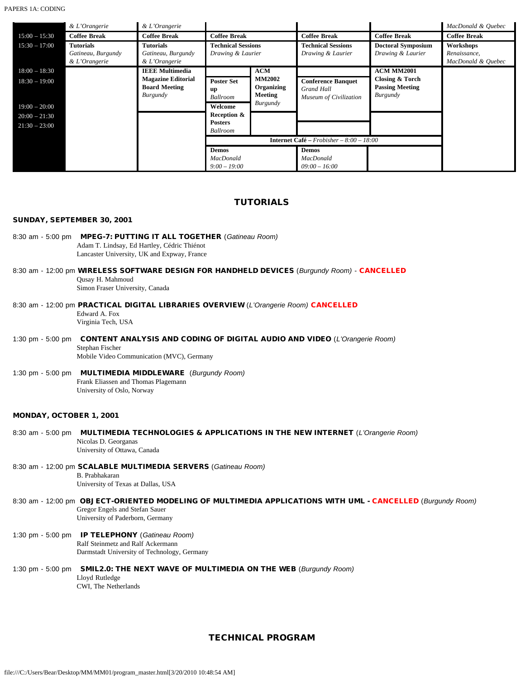PAPERS 1A: CODING

|                 | & L'Orangerie       | & L'Orangerie             |                           |                |                                                   |                           | MacDonald & Quebec  |
|-----------------|---------------------|---------------------------|---------------------------|----------------|---------------------------------------------------|---------------------------|---------------------|
| $15:00 - 15:30$ | <b>Coffee Break</b> | <b>Coffee Break</b>       | <b>Coffee Break</b>       |                | <b>Coffee Break</b>                               | <b>Coffee Break</b>       | <b>Coffee Break</b> |
| $15:30 - 17:00$ | <b>Tutorials</b>    | Tutorials                 | <b>Technical Sessions</b> |                | <b>Technical Sessions</b>                         | <b>Doctoral Symposium</b> | Workshops           |
|                 | Gatineau, Burgundy  | Gatineau, Burgundy        | Drawing & Laurier         |                | Drawing & Laurier                                 | Drawing & Laurier         | Renaissance,        |
|                 | & L'Orangerie       | & L'Orangerie             |                           |                |                                                   |                           | MacDonald & Quebec  |
| $18:00 - 18:30$ |                     | <b>IEEE Multimedia</b>    |                           | <b>ACM</b>     |                                                   | ACM MM2001                |                     |
| $18:30 - 19:00$ |                     | <b>Magazine Editorial</b> | <b>Poster Set</b>         | <b>MM2002</b>  | <b>Conference Banquet</b>                         | Closing & Torch           |                     |
|                 |                     | <b>Board Meeting</b>      | up                        | Organizing     | Grand Hall                                        | <b>Passing Meeting</b>    |                     |
|                 |                     | Burgundy                  | Ballroom                  | <b>Meeting</b> | Museum of Civilization                            | Burgundy                  |                     |
| $19:00 - 20:00$ |                     |                           | Welcome                   | Burgundy       |                                                   |                           |                     |
| $20:00 - 21:30$ |                     |                           | Reception &               |                |                                                   |                           |                     |
| $21:30 - 23:00$ |                     |                           | <b>Posters</b>            |                |                                                   |                           |                     |
|                 |                     |                           | <b>Ballroom</b>           |                |                                                   |                           |                     |
|                 |                     |                           |                           |                | <b>Internet Café</b> – Frobisher – $8:00 - 18:00$ |                           |                     |
|                 |                     |                           | <b>Demos</b>              |                | <b>Demos</b>                                      |                           |                     |
|                 |                     |                           | <b>MacDonald</b>          |                | <b>MacDonald</b>                                  |                           |                     |
|                 |                     |                           | $9:00 - 19:00$            |                | $09:00 - 16:00$                                   |                           |                     |

#### TUTORIALS

#### <span id="page-32-1"></span>SUNDAY, SEPTEMBER 30, 2001

- 8:30 am 5:00 pm MPEG-7: PUTTING IT ALL TOGETHER (*Gatineau Room)* Adam T. Lindsay, Ed Hartley, Cédric Thiénot Lancaster University, UK and Expway, France
- 8:30 am 12:00 pm WIRELESS SOFTWARE DESIGN FOR HANDHELD DEVICES (*Burgundy Room)* CANCELLED Qusay H. Mahmoud Simon Fraser University, Canada
- 8:30 am 12:00 pm PRACTICAL DIGITAL LIBRARIES OVERVIEW (*L'Orangerie Room)* CANCELLED Edward A. Fox Virginia Tech, USA
- 1:30 pm 5:00 pm CONTENT ANALYSIS AND CODING OF DIGITAL AUDIO AND VIDEO (*L'Orangerie Room)* Stephan Fischer Mobile Video Communication (MVC), Germany
- 1:30 pm 5:00 pm MULTIMEDIA MIDDLEWARE (*Burgundy Room)* Frank Eliassen and Thomas Plagemann University of Oslo, Norway

#### MONDAY, OCTOBER 1, 2001

- 8:30 am 5:00 pm MULTIMEDIA TECHNOLOGIES & APPLICATIONS IN THE NEW INTERNET (*L'Orangerie Room)* Nicolas D. Georganas University of Ottawa, Canada
- 8:30 am 12:00 pm SCALABLE MULTIMEDIA SERVERS (*Gatineau Room)* B. Prabhakaran University of Texas at Dallas, USA
- 8:30 am 12:00 pm OBJECT-ORIENTED MODELING OF MULTIMEDIA APPLICATIONS WITH UML CANCELLED (*Burgundy Room)* Gregor Engels and Stefan Sauer University of Paderborn, Germany
- 1:30 pm 5:00 pm IP TELEPHONY (*Gatineau Room)* **Ralf Steinmetz and Ralf Ackermann** Darmstadt University of Technology, Germany
- <span id="page-32-0"></span>1:30 pm - 5:00 pm SMIL2.0: THE NEXT WAVE OF MULTIMEDIA ON THE WEB (*Burgundy Room)* Lloyd Rutledge CWI, The Netherlands

#### TECHNICAL PROGRAM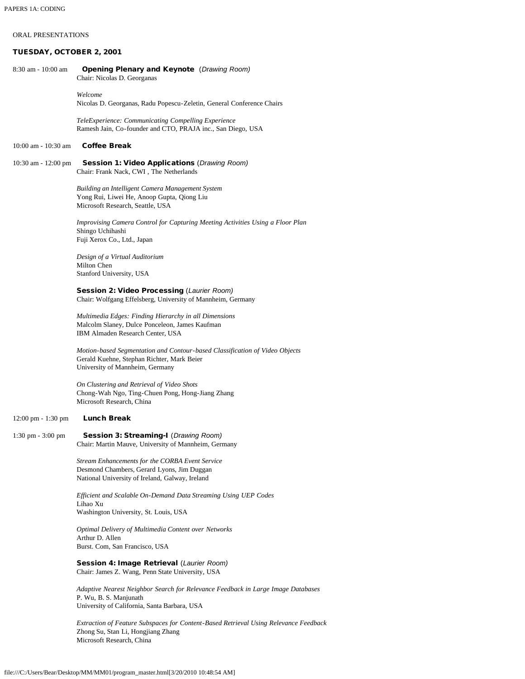#### ORAL PRESENTATIONS

#### TUESDAY, OCTOBER 2, 2001

8:30 am - 10:00 am Opening Plenary and Keynote (*Drawing Room)* Chair: Nicolas D. Georganas  *Welcome* Nicolas D. Georganas, Radu Popescu-Zeletin, General Conference Chairs *TeleExperience: Communicating Compelling Experience* Ramesh Jain, Co-founder and CTO, PRAJA inc., San Diego, USA 10:00 am - 10:30 am Coffee Break 10:30 am - 12:00 pm Session 1: Video Applications (*Drawing Room)* Chair: Frank Nack, CWI , The Netherlands *Building an Intelligent Camera Management System*  Yong Rui, Liwei He, Anoop Gupta, Qiong Liu Microsoft Research, Seattle, USA *Improvising Camera Control for Capturing Meeting Activities Using a Floor Plan*  Shingo Uchihashi Fuji Xerox Co., Ltd., Japan *Design of a Virtual Auditorium* Milton Chen Stanford University, USA Session 2: Video Processing (*Laurier Room)* Chair: Wolfgang Effelsberg, University of Mannheim, Germany *Multimedia Edges: Finding Hierarchy in all Dimensions* Malcolm Slaney, Dulce Ponceleon, James Kaufman IBM Almaden Research Center, USA *Motion-based Segmentation and Contour-based Classification of Video Objects*  Gerald Kuehne, Stephan Richter, Mark Beier University of Mannheim, Germany *On Clustering and Retrieval of Video Shots* Chong-Wah Ngo, Ting-Chuen Pong, Hong-Jiang Zhang Microsoft Research, China 12:00 pm - 1:30 pm Lunch Break 1:30 pm - 3:00 pm Session 3: Streaming-I (*Drawing Room)* Chair: Martin Mauve, University of Mannheim, Germany *Stream Enhancements for the CORBA Event Service*  Desmond Chambers, Gerard Lyons, Jim Duggan National University of Ireland, Galway, Ireland *Efficient and Scalable On-Demand Data Streaming Using UEP Codes* Lihao Xu Washington University, St. Louis, USA *Optimal Delivery of Multimedia Content over Networks*  Arthur D. Allen Burst. Com, San Francisco, USA Session 4: Image Retrieval (*Laurier Room)* Chair: James Z. Wang, Penn State University, USA *Adaptive Nearest Neighbor Search for Relevance Feedback in Large Image Databases* P. Wu, B. S. Manjunath University of California, Santa Barbara, USA *Extraction of Feature Subspaces for Content-Based Retrieval Using Relevance Feedback* Zhong Su, Stan Li, Hongjiang Zhang

Microsoft Research, China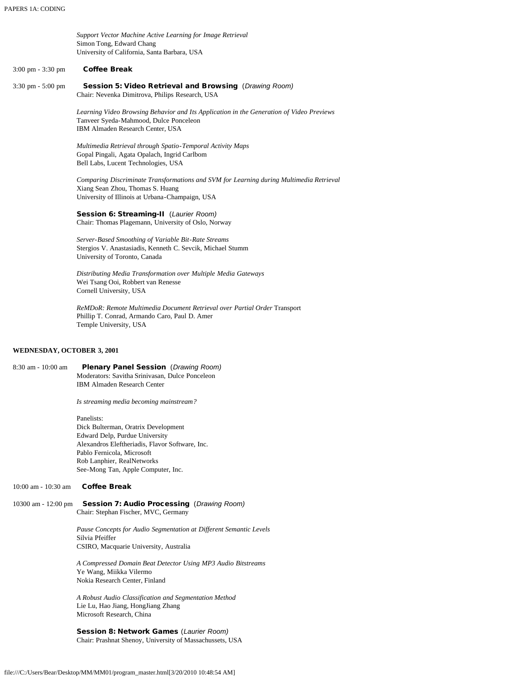|                                   | Support Vector Machine Active Learning for Image Retrieval<br>Simon Tong, Edward Chang                                                                                         |
|-----------------------------------|--------------------------------------------------------------------------------------------------------------------------------------------------------------------------------|
|                                   | University of California, Santa Barbara, USA                                                                                                                                   |
| 3:00 pm - 3:30 pm                 | <b>Coffee Break</b>                                                                                                                                                            |
| 3:30 pm - 5:00 pm                 | Session 5: Video Retrieval and Browsing (Drawing Room)<br>Chair: Nevenka Dimitrova, Philips Research, USA                                                                      |
|                                   | Learning Video Browsing Behavior and Its Application in the Generation of Video Previews<br>Tanveer Syeda-Mahmood, Dulce Ponceleon<br>IBM Almaden Research Center, USA         |
|                                   | Multimedia Retrieval through Spatio-Temporal Activity Maps<br>Gopal Pingali, Agata Opalach, Ingrid Carlbom<br>Bell Labs, Lucent Technologies, USA                              |
|                                   | Comparing Discriminate Transformations and SVM for Learning during Multimedia Retrieval<br>Xiang Sean Zhou, Thomas S. Huang<br>University of Illinois at Urbana-Champaign, USA |
|                                   | Session 6: Streaming-II (Laurier Room)<br>Chair: Thomas Plagemann, University of Oslo, Norway                                                                                  |
|                                   | Server-Based Smoothing of Variable Bit-Rate Streams<br>Stergios V. Anastasiadis, Kenneth C. Sevcik, Michael Stumm<br>University of Toronto, Canada                             |
|                                   | Distributing Media Transformation over Multiple Media Gateways<br>Wei Tsang Ooi, Robbert van Renesse<br>Cornell University, USA                                                |
|                                   | ReMDoR: Remote Multimedia Document Retrieval over Partial Order Transport<br>Phillip T. Conrad, Armando Caro, Paul D. Amer<br>Temple University, USA                           |
| <b>WEDNESDAY, OCTOBER 3, 2001</b> |                                                                                                                                                                                |
| 8:30 am - 10:00 am                | <b>Plenary Panel Session</b> (Drawing Room)<br>Moderators: Savitha Srinivasan, Dulce Ponceleon<br><b>IBM Almaden Research Center</b>                                           |
|                                   | Is streaming media becoming mainstream?                                                                                                                                        |
|                                   | Panelists:<br>Dick Bulterman, Oratrix Development                                                                                                                              |
|                                   | Edward Delp, Purdue University<br>Alexandros Eleftheriadis, Flavor Software, Inc.<br>Pablo Fernicola, Microsoft<br>Rob Lanphier, RealNetworks                                  |
|                                   | See-Mong Tan, Apple Computer, Inc.<br><b>Coffee Break</b>                                                                                                                      |
| 10:00 am - 10:30 am               |                                                                                                                                                                                |
| 10300 am - 12:00 pm               | Session 7: Audio Processing (Drawing Room)<br>Chair: Stephan Fischer, MVC, Germany                                                                                             |
|                                   | Pause Concepts for Audio Segmentation at Different Semantic Levels<br>Silvia Pfeiffer<br>CSIRO, Macquarie University, Australia                                                |
|                                   | A Compressed Domain Beat Detector Using MP3 Audio Bitstreams<br>Ye Wang, Miikka Vilermo<br>Nokia Research Center, Finland                                                      |
|                                   | A Robust Audio Classification and Segmentation Method<br>Lie Lu, Hao Jiang, HongJiang Zhang                                                                                    |

Session 8: Network Games (*Laurier Room)* Chair: Prashnat Shenoy, University of Massachussets, USA

Microsoft Research, China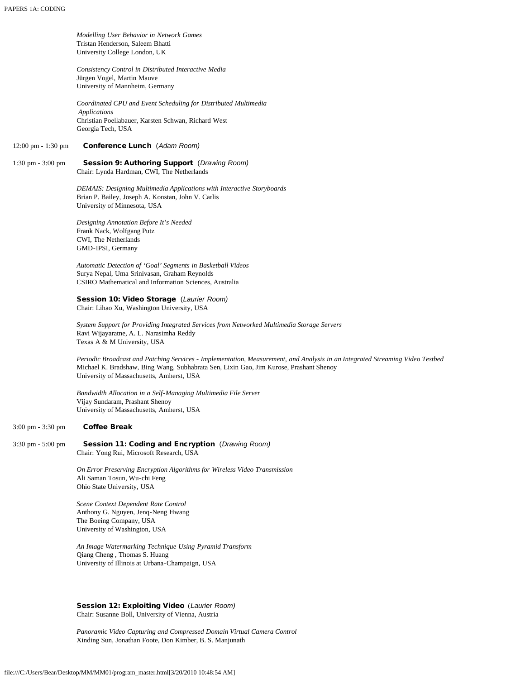*Modelling User Behavior in Network Games*  Tristan Henderson, Saleem Bhatti University College London, UK

*Consistency Control in Distributed Interactive Media*  Jürgen Vogel, Martin Mauve University of Mannheim, Germany

*Coordinated CPU and Event Scheduling for Distributed Multimedia Applications* Christian Poellabauer, Karsten Schwan, Richard West Georgia Tech, USA

#### 12:00 pm - 1:30 pm Conference Lunch (*Adam Room)*

#### 1:30 pm - 3:00 pm Session 9: Authoring Support (*Drawing Room)* Chair: Lynda Hardman, CWI, The Netherlands

*DEMAIS: Designing Multimedia Applications with Interactive Storyboards*  Brian P. Bailey, Joseph A. Konstan, John V. Carlis University of Minnesota, USA

*Designing Annotation Before It's Needed* Frank Nack, Wolfgang Putz CWI, The Netherlands GMD-IPSI, Germany

*Automatic Detection of 'Goal' Segments in Basketball Videos* Surya Nepal, Uma Srinivasan, Graham Reynolds CSIRO Mathematical and Information Sciences, Australia

#### Session 10: Video Storage (*Laurier Room)*

Chair: Lihao Xu, Washington University, USA

*System Support for Providing Integrated Services from Networked Multimedia Storage Servers* Ravi Wijayaratne, A. L. Narasimha Reddy Texas A & M University, USA

*Periodic Broadcast and Patching Services - Implementation, Measurement, and Analysis in an Integrated Streaming Video Testbed* Michael K. Bradshaw, Bing Wang, Subhabrata Sen, Lixin Gao, Jim Kurose, Prashant Shenoy University of Massachusetts, Amherst, USA

*Bandwidth Allocation in a Self-Managing Multimedia File Server* Vijay Sundaram, Prashant Shenoy University of Massachusetts, Amherst, USA

#### 3:00 pm - 3:30 pm Coffee Break

#### 3:30 pm - 5:00 pm Session 11: Coding and Encryption (*Drawing Room)*

Chair: Yong Rui, Microsoft Research, USA

*On Error Preserving Encryption Algorithms for Wireless Video Transmission*  Ali Saman Tosun, Wu-chi Feng Ohio State University, USA

*Scene Context Dependent Rate Control* Anthony G. Nguyen, Jenq-Neng Hwang The Boeing Company, USA University of Washington, USA

*An Image Watermarking Technique Using Pyramid Transform* Qiang Cheng , Thomas S. Huang University of Illinois at Urbana-Champaign, USA

Session 12: Exploiting Video (*Laurier Room)* Chair: Susanne Boll, University of Vienna, Austria

*Panoramic Video Capturing and Compressed Domain Virtual Camera Control*  Xinding Sun, Jonathan Foote, Don Kimber, B. S. Manjunath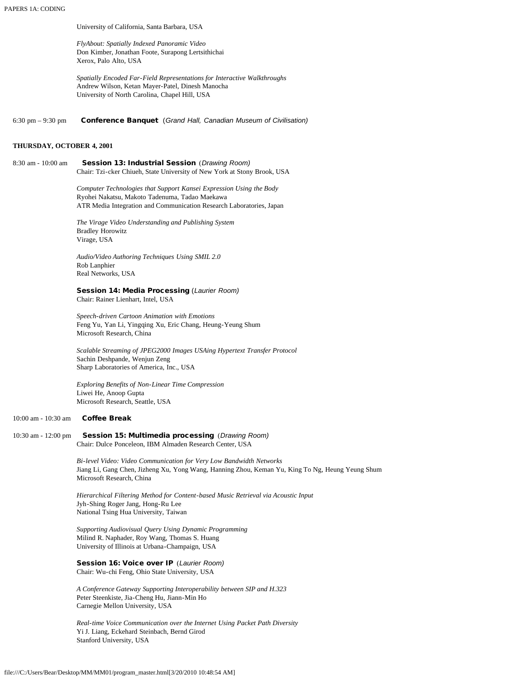University of California, Santa Barbara, USA

*FlyAbout: Spatially Indexed Panoramic Video* Don Kimber, Jonathan Foote, Surapong Lertsithichai Xerox, Palo Alto, USA

*Spatially Encoded Far-Field Representations for Interactive Walkthroughs*  Andrew Wilson, Ketan Mayer-Patel, Dinesh Manocha University of North Carolina, Chapel Hill, USA

6:30 pm – 9:30 pm Conference Banquet (*Grand Hall, Canadian Museum of Civilisation)*

#### **THURSDAY, OCTOBER 4, 2001**

8:30 am - 10:00 am Session 13: Industrial Session (*Drawing Room)* Chair: Tzi-cker Chiueh, State University of New York at Stony Brook, USA

> *Computer Technologies that Support Kansei Expression Using the Body* Ryohei Nakatsu, Makoto Tadenuma, Tadao Maekawa ATR Media Integration and Communication Research Laboratories, Japan

*The Virage Video Understanding and Publishing System* Bradley Horowitz Virage, USA

*Audio/Video Authoring Techniques Using SMIL 2.0* Rob Lanphier Real Networks, USA

#### Session 14: Media Processing (*Laurier Room)* Chair: Rainer Lienhart, Intel, USA

*Speech-driven Cartoon Animation with Emotions* Feng Yu, Yan Li, Yingqing Xu, Eric Chang, Heung-Yeung Shum Microsoft Research, China

*Scalable Streaming of JPEG2000 Images USAing Hypertext Transfer Protocol* Sachin Deshpande, Wenjun Zeng Sharp Laboratories of America, Inc., USA

*Exploring Benefits of Non-Linear Time Compression*  Liwei He, Anoop Gupta Microsoft Research, Seattle, USA

#### 10:00 am - 10:30 am Coffee Break

10:30 am - 12:00 pm Session 15: Multimedia processing (*Drawing Room)* Chair: Dulce Ponceleon, IBM Almaden Research Center, USA

> *Bi-level Video: Video Communication for Very Low Bandwidth Networks* Jiang Li, Gang Chen, Jizheng Xu, Yong Wang, Hanning Zhou, Keman Yu, King To Ng, Heung Yeung Shum Microsoft Research, China

*Hierarchical Filtering Method for Content-based Music Retrieval via Acoustic Input* Jyh-Shing Roger Jang, Hong-Ru Lee National Tsing Hua University, Taiwan

*Supporting Audiovisual Query Using Dynamic Programming* Milind R. Naphader, Roy Wang, Thomas S. Huang University of Illinois at Urbana-Champaign, USA

Session 16: Voice over IP (*Laurier Room)*

Chair: Wu-chi Feng, Ohio State University, USA

*A Conference Gateway Supporting Interoperability between SIP and H.323* Peter Steenkiste, Jia-Cheng Hu, Jiann-Min Ho Carnegie Mellon University, USA

*Real-time Voice Communication over the Internet Using Packet Path Diversity* Yi J. Liang, Eckehard Steinbach, Bernd Girod Stanford University, USA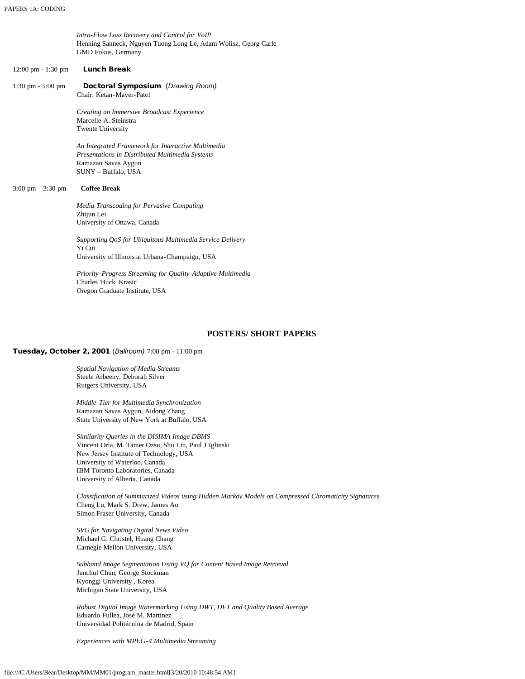<span id="page-37-1"></span>

|                                      | Intra-Flow Loss Recovery and Control for VoIP<br>Henning Sanneck, Nguyen Tuong Long Le, Adam Wolisz, Georg Carle<br>GMD Fokus, Germany              |
|--------------------------------------|-----------------------------------------------------------------------------------------------------------------------------------------------------|
| $12:00 \text{ pm} - 1:30 \text{ pm}$ | <b>Lunch Break</b>                                                                                                                                  |
| $1:30 \text{ pm} - 5:00 \text{ pm}$  | Doctoral Symposium (Drawing Room)<br>Chair: Ketan-Mayer-Patel                                                                                       |
|                                      | Creating an Immersive Broadcast Experience<br>Marcelle A. Steinstra<br><b>Twente University</b>                                                     |
|                                      | An Integrated Framework for Interactive Multimedia<br>Presentations in Distributed Multimedia Systems<br>Ramazan Savas Aygun<br>SUNY - Buffalo, USA |
| $3:00 \text{ pm} - 3:30 \text{ pm}$  | <b>Coffee Break</b>                                                                                                                                 |
|                                      | Media Transcoding for Pervasive Computing<br>Zhijun Lei<br>University of Ottawa, Canada                                                             |
|                                      | Supporting QoS for Ubiquitous Multimedia Service Delivery<br>Yi Cui<br>University of Illinois at Urbana-Champaign, USA                              |
|                                      | Priority-Progress Streaming for Quality-Adaptive Multimedia<br>Charles 'Buck' Krasic<br>Oregon Graduate Institute, USA                              |

#### **POSTERS/ SHORT PAPERS**

#### <span id="page-37-0"></span>Tuesday, October 2, 2001 (*Ballroom)* 7:00 pm - 11:00 pm

*Spatial Navigation of Media Streams* Steele Arbeeny, Deborah Silver Rutgers University, USA

*Middle-Tier for Multimedia Synchronization* Ramazan Savas Aygun, Aidong Zhang State University of New York at Buffalo, USA

*Similarity Queries in the DISIMA Image DBMS* Vincent Oria, M. Tamer Özsu, Shu Lin, Paul J Iglinski New Jersey Institute of Technology, USA University of Waterloo, Canada IBM Toronto Laboratories, Canada University of Alberta, Canada

*Classification of Summarized Videos using Hidden Markov Models on Compressed Chromaticity Signatures* Cheng Lu, Mark S. Drew, James Au Simon Fraser University, Canada

*SVG for Navigating Digital News Video* Michael G. Christel, Huang Chang Carnegie Mellon University, USA

*Subband Image Segmentation Using VQ for Content Based Image Retrieval* Junchul Chun, George Stockman Kyonggi University , Korea Michigan State University, USA

*Robust Digital Image Watermarking Using DWT, DFT and Quality Based Average* Eduardo Fullea, José M. Martinez Universidad Politécnina de Madrid, Spain

*Experiences with MPEG-4 Multimedia Streaming*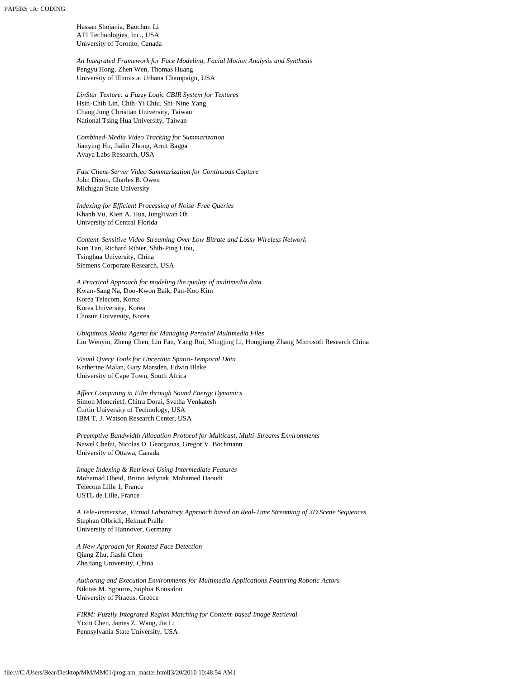Hassan Shojania, Baochun Li ATI Technologies, Inc., USA University of Toronto, Canada

*An Integrated Framework for Face Modeling, Facial Motion Analysis and Synthesis* Pengyu Hong, Zhen Wen, Thomas Huang University of Illinois at Urbana Champaign, USA

*LinStar Texture: a Fuzzy Logic CBIR System for Textures* Hsin-Chih Lin, Chih-Yi Chiu, Shi-Nine Yang Chang Jung Christian University, Taiwan National Tsing Hua University, Taiwan

*Combined-Media Video Tracking for Summarization* Jianying Hu, Jialin Zhong, Arnit Bagga Avaya Labs Research, USA

*Fast Client-Server Video Summarization for Continuous Capture* John Dixon, Charles B. Owen Michigan State University

*Indexing for Efficient Processing of Noise-Free Queries* Khanh Vu, Kien A. Hua, JungHwan Oh University of Central Florida

*Content-Sensitive Video Streaming Over Low Bitrate and Lossy Wireless Network* Kun Tan, Richard Ribier, Shih-Ping Liou, Tsinghua University, China Siemens Corporate Research, USA

*A Practical Approach for modeling the quality of multimedia data* Kwan-Sang Na, Doo-Kwon Baik, Pan-Koo Kim Korea Telecom, Korea Korea University, Korea Chosun University, Korea

*Ubiquitous Media Agents for Managing Personal Multimedia Files* Liu Wenyin, Zheng Chen, Lin Fan, Yang Rui, Mingjing Li, Hongjiang Zhang Microsoft Research China

*Visual Query Tools for Uncertain Spatio-Temporal Data* Katherine Malan, Gary Marsden, Edwin Blake University of Cape Town, South Africa

*Affect Computing in Film through Sound Energy Dynamics* Simon Moncrieff, Chitra Dorai, Svetha Venkatesh Curtin University of Technology, USA IBM T. J. Watson Research Center, USA

*Preemptive Bandwidth Allocation Protocol for Multicast, Multi-Streams Environments* Nawel Chefai, Nicolas D. Georganas, Gregor V. Bochmann University of Ottawa, Canada

*Image Indexing & Retrieval Using Intermediate Features* Mohamad Obeid, Bruno Jedynak, Mohamed Daoudi Telecom Lille 1, France USTL de Lille, France

*A Tele-Immersive, Virtual Laboratory Approach based on Real-Time Streaming of 3D Scene Sequences* Stephan Olbrich, Helmut Pralle University of Hannover, Germany

*A New Approach for Rotated Face Detection* Qiang Zhu, Jiashi Chen ZheJiang University, China

*Authoring and Execution Environments for Multimedia Applications Featuring Robotic Actors* Nikitas M. Sgouros, Sophia Kousidou University of Piraeus, Greece

*FIRM: Fuzzily Integrated Region Matching for Content-based Image Retrieval* Yixin Chen, James Z. Wang, Jia Li Pennsylvania State University, USA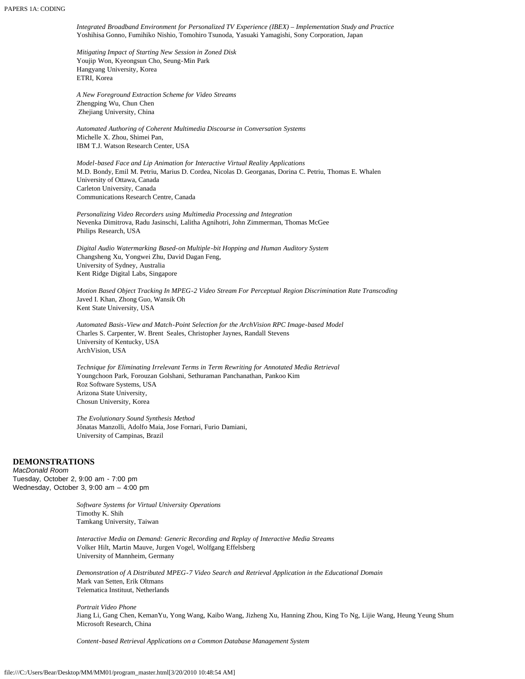*Integrated Broadband Environment for Personalized TV Experience (IBEX) – Implementation Study and Practice* Yoshihisa Gonno, Fumihiko Nishio, Tomohiro Tsunoda, Yasuaki Yamagishi, Sony Corporation, Japan

*Mitigating Impact of Starting New Session in Zoned Disk* Youjip Won, Kyeongsun Cho, Seung-Min Park Hangyang University, Korea ETRI, Korea

*A New Foreground Extraction Scheme for Video Streams* Zhengping Wu, Chun Chen Zhejiang University, China

*Automated Authoring of Coherent Multimedia Discourse in Conversation Systems* Michelle X. Zhou, Shimei Pan, IBM T.J. Watson Research Center, USA

*Model-based Face and Lip Animation for Interactive Virtual Reality Applications* M.D. Bondy, Emil M. Petriu, Marius D. Cordea, Nicolas D. Georganas, Dorina C. Petriu, Thomas E. Whalen University of Ottawa, Canada Carleton University, Canada Communications Research Centre, Canada

*Personalizing Video Recorders using Multimedia Processing and Integration* Nevenka Dimitrova, Radu Jasinschi, Lalitha Agnihotri, John Zimmerman, Thomas McGee Philips Research, USA

*Digital Audio Watermarking Based-on Multiple-bit Hopping and Human Auditory System* Changsheng Xu, Yongwei Zhu, David Dagan Feng, University of Sydney, Australia Kent Ridge Digital Labs, Singapore

*Motion Based Object Tracking In MPEG-2 Video Stream For Perceptual Region Discrimination Rate Transcoding* Javed I. Khan, Zhong Guo, Wansik Oh Kent State University, USA

*Automated Basis-View and Match-Point Selection for the ArchVision RPC Image-based Model* Charles S. Carpenter, W. Brent Seales, Christopher Jaynes, Randall Stevens University of Kentucky, USA ArchVision, USA

*Technique for Eliminating Irrelevant Terms in Term Rewriting for Annotated Media Retrieval* Youngchoon Park, Forouzan Golshani, Sethuraman Panchanathan, Pankoo Kim Roz Software Systems, USA Arizona State University, Chosun University, Korea

*The Evolutionary Sound Synthesis Method* Jônatas Manzolli, Adolfo Maia, Jose Fornari, Furio Damiani, University of Campinas, Brazil

#### <span id="page-39-0"></span>**DEMONSTRATIONS**

*MacDonald Room* Tuesday, October 2, 9:00 am - 7:00 pm Wednesday, October 3, 9:00 am – 4:00 pm

> *Software Systems for Virtual University Operations* Timothy K. Shih Tamkang University, Taiwan

*Interactive Media on Demand: Generic Recording and Replay of Interactive Media Streams* Volker Hilt, Martin Mauve, Jurgen Vogel, Wolfgang Effelsberg University of Mannheim, Germany

*Demonstration of A Distributed MPEG-7 Video Search and Retrieval Application in the Educational Domain* Mark van Setten, Erik Oltmans Telematica Instituut, Netherlands

*Portrait Video Phone* Jiang Li, Gang Chen, KemanYu, Yong Wang, Kaibo Wang, Jizheng Xu, Hanning Zhou, King To Ng, Lijie Wang, Heung Yeung Shum Microsoft Research, China

*Content-based Retrieval Applications on a Common Database Management System*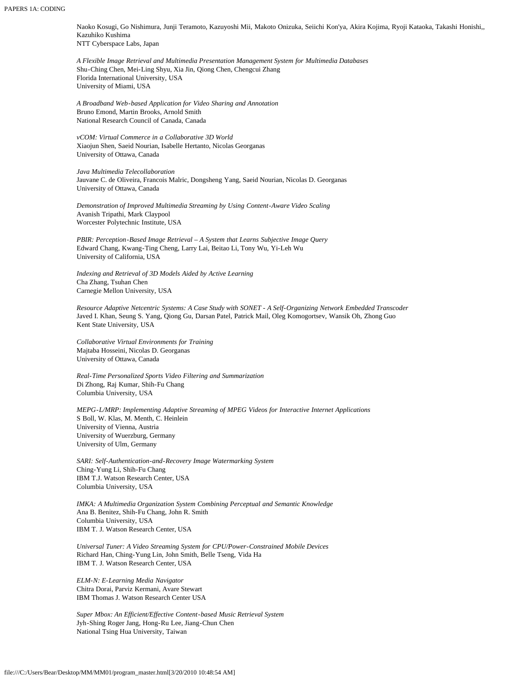Naoko Kosugi, Go Nishimura, Junji Teramoto, Kazuyoshi Mii, Makoto Onizuka, Seiichi Kon'ya, Akira Kojima, Ryoji Kataoka, Takashi Honishi,, Kazuhiko Kushima NTT Cyberspace Labs, Japan

*A Flexible Image Retrieval and Multimedia Presentation Management System for Multimedia Databases* Shu-Ching Chen, Mei-Ling Shyu, Xia Jin, Qiong Chen, Chengcui Zhang Florida International University, USA University of Miami, USA

*A Broadband Web-based Application for Video Sharing and Annotation* Bruno Emond, Martin Brooks, Arnold Smith National Research Council of Canada, Canada

*vCOM: Virtual Commerce in a Collaborative 3D World* Xiaojun Shen, Saeid Nourian, Isabelle Hertanto, Nicolas Georganas University of Ottawa, Canada

*Java Multimedia Telecollaboration* Jauvane C. de Oliveira, Francois Malric, Dongsheng Yang, Saeid Nourian, Nicolas D. Georganas University of Ottawa, Canada

*Demonstration of Improved Multimedia Streaming by Using Content-Aware Video Scaling* Avanish Tripathi, Mark Claypool Worcester Polytechnic Institute, USA

*PBIR: Perception-Based Image Retrieval – A System that Learns Subjective Image Query*  Edward Chang, Kwang-Ting Cheng, Larry Lai, Beitao Li, Tony Wu, Yi-Leh Wu University of California, USA

*Indexing and Retrieval of 3D Models Aided by Active Learning* Cha Zhang, Tsuhan Chen Carnegie Mellon University, USA

*Resource Adaptive Netcentric Systems: A Case Study with SONET - A Self-Organizing Network Embedded Transcoder* Javed I. Khan, Seung S. Yang, Qiong Gu, Darsan Patel, Patrick Mail, Oleg Komogortsev, Wansik Oh, Zhong Guo Kent State University, USA

*Collaborative Virtual Environments for Training* Majtaba Hosseini, Nicolas D. Georganas University of Ottawa, Canada

*Real-Time Personalized Sports Video Filtering and Summarization* Di Zhong, Raj Kumar, Shih-Fu Chang Columbia University, USA

*MEPG-L/MRP: Implementing Adaptive Streaming of MPEG Videos for Interactive Internet Applications* S Boll, W. Klas, M. Menth, C. Heinlein University of Vienna, Austria University of Wuerzburg, Germany University of Ulm, Germany

*SARI: Self-Authentication-and-Recovery Image Watermarking System* Ching-Yung Li, Shih-Fu Chang IBM T.J. Watson Research Center, USA Columbia University, USA

*IMKA: A Multimedia Organization System Combining Perceptual and Semantic Knowledge* Ana B. Benitez, Shih-Fu Chang, John R. Smith Columbia University, USA IBM T. J. Watson Research Center, USA

*Universal Tuner: A Video Streaming System for CPU/Power-Constrained Mobile Devices* Richard Han, Ching-Yung Lin, John Smith, Belle Tseng, Vida Ha IBM T. J. Watson Research Center, USA

*ELM-N: E-Learning Media Navigator* Chitra Dorai, Parviz Kermani, Avare Stewart IBM Thomas J. Watson Research Center USA

*Super Mbox: An Efficient/Effective Content-based Music Retrieval System* Jyh-Shing Roger Jang, Hong-Ru Lee, Jiang-Chun Chen National Tsing Hua University, Taiwan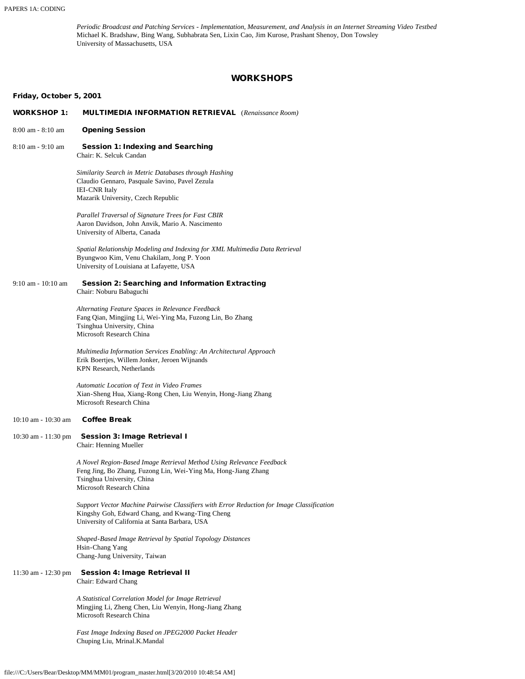*Periodic Broadcast and Patching Services - Implementation, Measurement, and Analysis in an Internet Streaming Video Testbed* Michael K. Bradshaw, Bing Wang, Subhabrata Sen, Lixin Cao, Jim Kurose, Prashant Shenoy, Don Towsley University of Massachusetts, USA

#### **WORKSHOPS**

#### <span id="page-41-0"></span>Friday, October 5, 2001

| <b>WORKSHOP 1:</b>     | <b>MULTIMEDIA INFORMATION RETRIEVAL</b> (Renaissance Room)                                                                                                                                       |
|------------------------|--------------------------------------------------------------------------------------------------------------------------------------------------------------------------------------------------|
| $8:00$ am - $8:10$ am  | <b>Opening Session</b>                                                                                                                                                                           |
| $8:10$ am - 9:10 am    | <b>Session 1: Indexing and Searching</b><br>Chair: K. Selcuk Candan                                                                                                                              |
|                        | Similarity Search in Metric Databases through Hashing<br>Claudio Gennaro, Pasquale Savino, Pavel Zezula<br><b>IEI-CNR</b> Italy<br>Mazarik University, Czech Republic                            |
|                        | Parallel Traversal of Signature Trees for Fast CBIR<br>Aaron Davidson, John Anvik, Mario A. Nascimento<br>University of Alberta, Canada                                                          |
|                        | Spatial Relationship Modeling and Indexing for XML Multimedia Data Retrieval<br>Byungwoo Kim, Venu Chakilam, Jong P. Yoon<br>University of Louisiana at Lafayette, USA                           |
| $9:10$ am - $10:10$ am | Session 2: Searching and Information Extracting<br>Chair: Noburu Babaguchi                                                                                                                       |
|                        | Alternating Feature Spaces in Relevance Feedback<br>Fang Qian, Mingjing Li, Wei-Ying Ma, Fuzong Lin, Bo Zhang<br>Tsinghua University, China<br>Microsoft Research China                          |
|                        | Multimedia Information Services Enabling: An Architectural Approach<br>Erik Boertjes, Willem Jonker, Jeroen Wijnands<br>KPN Research, Netherlands                                                |
|                        | Automatic Location of Text in Video Frames<br>Xian-Sheng Hua, Xiang-Rong Chen, Liu Wenyin, Hong-Jiang Zhang<br>Microsoft Research China                                                          |
| 10:10 am - 10:30 am    | <b>Coffee Break</b>                                                                                                                                                                              |
| 10:30 am - 11:30 pm    | <b>Session 3: Image Retrieval I</b><br>Chair: Henning Mueller                                                                                                                                    |
|                        | A Novel Region-Based Image Retrieval Method Using Relevance Feedback<br>Feng Jing, Bo Zhang, Fuzong Lin, Wei-Ying Ma, Hong-Jiang Zhang<br>Tsinghua University, China<br>Microsoft Research China |
|                        | Support Vector Machine Pairwise Classifiers with Error Reduction for Image Classification<br>Kingshy Goh, Edward Chang, and Kwang-Ting Cheng<br>University of California at Santa Barbara, USA   |
|                        | Shaped-Based Image Retrieval by Spatial Topology Distances<br>Hsin-Chang Yang<br>Chang-Jung University, Taiwan                                                                                   |
| 11:30 am - 12:30 pm    | <b>Session 4: Image Retrieval II</b><br>Chair: Edward Chang                                                                                                                                      |
|                        | A Statistical Correlation Model for Image Retrieval<br>Mingjing Li, Zheng Chen, Liu Wenyin, Hong-Jiang Zhang<br>Microsoft Research China                                                         |
|                        | Fast Image Indexing Based on JPEG2000 Packet Header<br>Chuping Liu, Mrinal.K.Mandal                                                                                                              |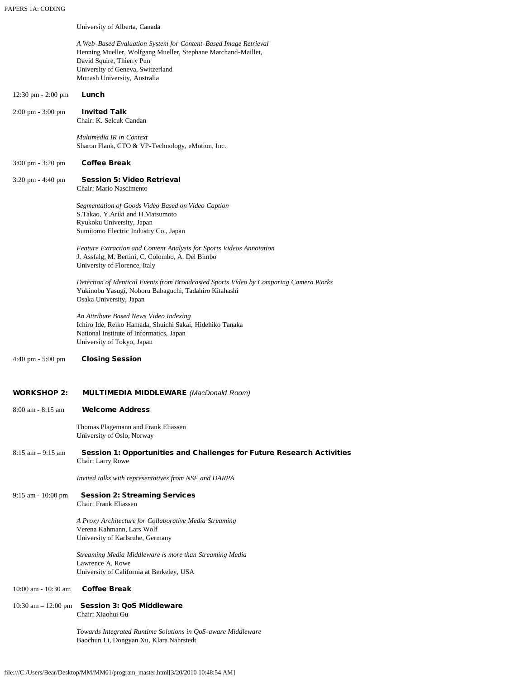|                                      | University of Alberta, Canada                                                                                                                                                                      |
|--------------------------------------|----------------------------------------------------------------------------------------------------------------------------------------------------------------------------------------------------|
|                                      | A Web-Based Evaluation System for Content-Based Image Retrieval<br>Henning Mueller, Wolfgang Mueller, Stephane Marchand-Maillet,<br>David Squire, Thierry Pun<br>University of Geneva, Switzerland |
|                                      | Monash University, Australia                                                                                                                                                                       |
| $12:30 \text{ pm} - 2:00 \text{ pm}$ | Lunch                                                                                                                                                                                              |
| 2:00 pm - 3:00 pm                    | <b>Invited Talk</b><br>Chair: K. Selcuk Candan                                                                                                                                                     |
|                                      | Multimedia IR in Context<br>Sharon Flank, CTO & VP-Technology, eMotion, Inc.                                                                                                                       |
| $3:00 \text{ pm} - 3:20 \text{ pm}$  | <b>Coffee Break</b>                                                                                                                                                                                |
| $3:20 \text{ pm} - 4:40 \text{ pm}$  | <b>Session 5: Video Retrieval</b><br>Chair: Mario Nascimento                                                                                                                                       |
|                                      | Segmentation of Goods Video Based on Video Caption<br>S.Takao, Y.Ariki and H.Matsumoto<br>Ryukoku University, Japan                                                                                |
|                                      | Sumitomo Electric Industry Co., Japan                                                                                                                                                              |
|                                      | Feature Extraction and Content Analysis for Sports Videos Annotation<br>J. Assfalg, M. Bertini, C. Colombo, A. Del Bimbo<br>University of Florence, Italy                                          |
|                                      | Detection of Identical Events from Broadcasted Sports Video by Comparing Camera Works<br>Yukinobu Yasugi, Noboru Babaguchi, Tadahiro Kitahashi<br>Osaka University, Japan                          |
|                                      | An Attribute Based News Video Indexing<br>Ichiro Ide, Reiko Hamada, Shuichi Sakai, Hidehiko Tanaka<br>National Institute of Informatics, Japan<br>University of Tokyo, Japan                       |
| $4:40 \text{ pm} - 5:00 \text{ pm}$  | <b>Closing Session</b>                                                                                                                                                                             |
|                                      |                                                                                                                                                                                                    |
| <b>WORKSHOP 2:</b>                   | <b>MULTIMEDIA MIDDLEWARE</b> (MacDonald Room)                                                                                                                                                      |
| 8:00 am - 8:15 am                    | <b>Welcome Address</b>                                                                                                                                                                             |
|                                      | Thomas Plagemann and Frank Eliassen<br>University of Oslo, Norway                                                                                                                                  |
| $8:15$ am $-9:15$ am                 | Session 1: Opportunities and Challenges for Future Research Activities<br>Chair: Larry Rowe                                                                                                        |
|                                      | Invited talks with representatives from NSF and DARPA                                                                                                                                              |
| 9:15 am - 10:00 pm                   | <b>Session 2: Streaming Services</b><br>Chair: Frank Eliassen                                                                                                                                      |
|                                      | A Proxy Architecture for Collaborative Media Streaming<br>Verena Kahmann, Lars Wolf<br>University of Karlsruhe, Germany                                                                            |
|                                      | Streaming Media Middleware is more than Streaming Media<br>Lawrence A. Rowe<br>University of California at Berkeley, USA                                                                           |
| $10:00$ am - $10:30$ am              | <b>Coffee Break</b>                                                                                                                                                                                |
| 10:30 am $-$ 12:00 pm                | <b>Session 3: QoS Middleware</b><br>Chair: Xiaohui Gu                                                                                                                                              |
|                                      | Towards Integrated Runtime Solutions in QoS-aware Middleware<br>Baochun Li, Dongyan Xu, Klara Nahrstedt                                                                                            |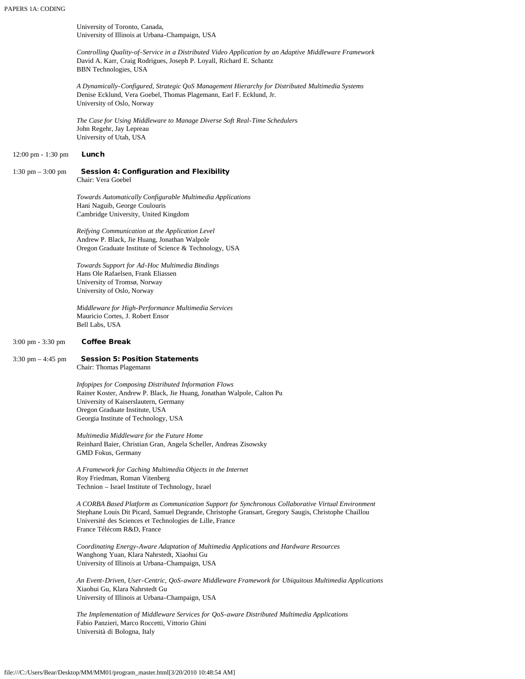University of Toronto, Canada, University of Illinois at Urbana-Champaign, USA

*Controlling Quality-of-Service in a Distributed Video Application by an Adaptive Middleware Framework* David A. Karr, Craig Rodrigues, Joseph P. Loyall, Richard E. Schantz BBN Technologies, USA

*A Dynamically-Configured, Strategic QoS Management Hierarchy for Distributed Multimedia Systems* Denise Ecklund, Vera Goebel, Thomas Plagemann, Earl F. Ecklund, Jr. University of Oslo, Norway

*The Case for Using Middleware to Manage Diverse Soft Real-Time Scheduler*s John Regehr, Jay Lepreau University of Utah, USA

12:00 pm - 1:30 pm Lunch

#### 1:30 pm – 3:00 pm Session 4: Configuration and Flexibility Chair: Vera Goebel

*Towards Automatically Configurable Multimedia Applications* Hani Naguib, George Coulouris Cambridge University, United Kingdom

*Reifying Communication at the Application Level* Andrew P. Black, Jie Huang, Jonathan Walpole Oregon Graduate Institute of Science & Technology, USA

*Towards Support for Ad-Hoc Multimedia Bindings* Hans Ole Rafaelsen, Frank Eliassen University of Tromsø, Norway University of Oslo, Norway

*Middleware for High-Performance Multimedia Services* Mauricio Cortes, J. Robert Ensor Bell Labs, USA

#### 3:00 pm - 3:30 pm Coffee Break

#### 3:30 pm - 4:45 pm Session 5: Position Statements Chair: Thomas Plagemann

*Infopipes for Composing Distributed Information Flows* Rainer Koster, Andrew P. Black, Jie Huang, Jonathan Walpole, Calton Pu University of Kaiserslautern, Germany Oregon Graduate Institute, USA Georgia Institute of Technology, USA

*Multimedia Middleware for the Future Home* Reinhard Baier, Christian Gran, Angela Scheller, Andreas Zisowsky GMD Fokus, Germany

*A Framework for Caching Multimedia Objects in the Internet* Roy Friedman, Roman Vitenberg Technion – Israel Institute of Technology, Israel

*A CORBA Based Platform as Communication Support for Synchronous Collaborative Virtual Environment* Stephane Louis Dit Picard, Samuel Degrande, Christophe Gransart, Gregory Saugis, Christophe Chaillou Université des Sciences et Technologies de Lille, France France Télécom R&D, France

*Coordinating Energy-Aware Adaptation of Multimedia Applications and Hardware Resources* Wanghong Yuan, Klara Nahrstedt, Xiaohui Gu University of Illinois at Urbana-Champaign, USA

*An Event-Driven, User-Centric, QoS-aware Middleware Framework for Ubiquitous Multimedia Applications* Xiaohui Gu, Klara Nahrstedt Gu University of Illinois at Urbana-Champaign, USA

*The Implementation of Middleware Services for QoS-aware Distributed Multimedia Applications* Fabio Panzieri, Marco Roccetti, Vittorio Ghini Università di Bologna, Italy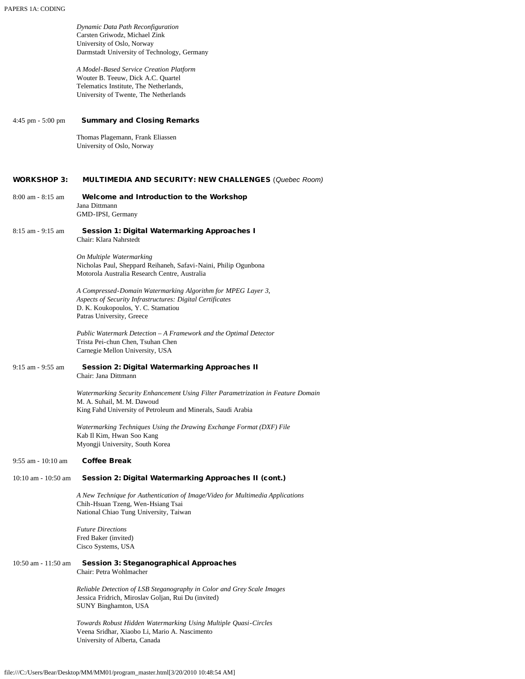|                        | Dynamic Data Path Reconfiguration<br>Carsten Griwodz, Michael Zink<br>University of Oslo, Norway<br>Darmstadt University of Technology, Germany                                              |
|------------------------|----------------------------------------------------------------------------------------------------------------------------------------------------------------------------------------------|
|                        | A Model-Based Service Creation Platform<br>Wouter B. Teeuw, Dick A.C. Quartel<br>Telematics Institute, The Netherlands,<br>University of Twente, The Netherlands                             |
|                        |                                                                                                                                                                                              |
| $4:45$ pm $-5:00$ pm   | <b>Summary and Closing Remarks</b><br>Thomas Plagemann, Frank Eliassen                                                                                                                       |
|                        | University of Oslo, Norway                                                                                                                                                                   |
| <b>WORKSHOP 3:</b>     | <b>MULTIMEDIA AND SECURITY: NEW CHALLENGES (Quebec Room)</b>                                                                                                                                 |
| $8:00$ am $-8:15$ am   | Welcome and Introduction to the Workshop<br>Jana Dittmann<br>GMD-IPSI, Germany                                                                                                               |
| $8:15$ am - 9:15 am    | Session 1: Digital Watermarking Approaches I<br>Chair: Klara Nahrstedt                                                                                                                       |
|                        | On Multiple Watermarking<br>Nicholas Paul, Sheppard Reihaneh, Safavi-Naini, Philip Ogunbona<br>Motorola Australia Research Centre, Australia                                                 |
|                        | A Compressed-Domain Watermarking Algorithm for MPEG Layer 3,<br>Aspects of Security Infrastructures: Digital Certificates<br>D. K. Koukopoulos, Y. C. Stamatiou<br>Patras University, Greece |
|                        | Public Watermark Detection – A Framework and the Optimal Detector<br>Trista Pei-chun Chen, Tsuhan Chen<br>Carnegie Mellon University, USA                                                    |
| 9:15 am - 9:55 am      | Session 2: Digital Watermarking Approaches II<br>Chair: Jana Dittmann                                                                                                                        |
|                        | Watermarking Security Enhancement Using Filter Parametrization in Feature Domain<br>M. A. Suhail, M. M. Dawoud<br>King Fahd University of Petroleum and Minerals, Saudi Arabia               |
|                        | Watermarking Techniques Using the Drawing Exchange Format (DXF) File<br>Kab Il Kim, Hwan Soo Kang<br>Myongji University, South Korea                                                         |
| $9:55$ am - $10:10$ am | <b>Coffee Break</b>                                                                                                                                                                          |
| 10:10 am - 10:50 am    | Session 2: Digital Watermarking Approaches II (cont.)                                                                                                                                        |
|                        | A New Technique for Authentication of Image/Video for Multimedia Applications<br>Chih-Hsuan Tzeng, Wen-Hsiang Tsai<br>National Chiao Tung University, Taiwan                                 |
|                        | <b>Future Directions</b><br>Fred Baker (invited)<br>Cisco Systems, USA                                                                                                                       |
| 10:50 am - 11:50 am    | <b>Session 3: Steganographical Approaches</b><br>Chair: Petra Wohlmacher                                                                                                                     |
|                        | Reliable Detection of LSB Steganography in Color and Grey Scale Images<br>Jessica Fridrich, Miroslav Goljan, Rui Du (invited)<br>SUNY Binghamton, USA                                        |
|                        | Towards Robust Hidden Watermarking Using Multiple Quasi-Circles<br>Veena Sridhar, Xiaobo Li, Mario A. Nascimento<br>University of Alberta, Canada                                            |
|                        |                                                                                                                                                                                              |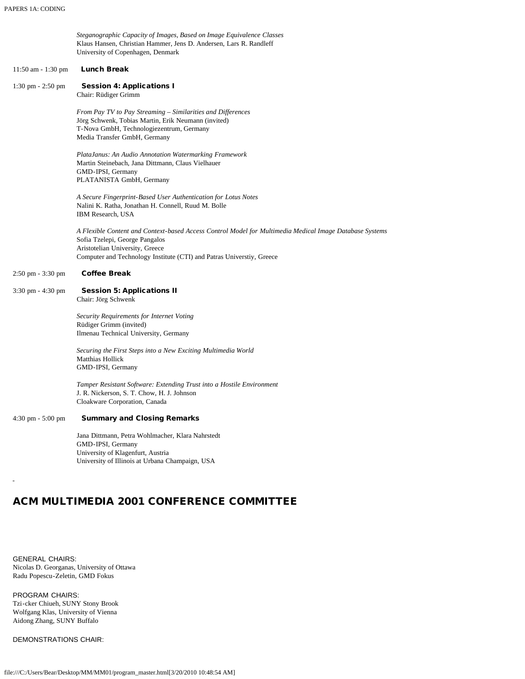|                                     | Steganographic Capacity of Images, Based on Image Equivalence Classes<br>Klaus Hansen, Christian Hammer, Jens D. Andersen, Lars R. Randleff<br>University of Copenhagen, Denmark                                                                      |
|-------------------------------------|-------------------------------------------------------------------------------------------------------------------------------------------------------------------------------------------------------------------------------------------------------|
| 11:50 am - 1:30 pm                  | <b>Lunch Break</b>                                                                                                                                                                                                                                    |
| $1:30 \text{ pm} - 2:50 \text{ pm}$ | <b>Session 4: Applications I</b><br>Chair: Rüdiger Grimm                                                                                                                                                                                              |
|                                     | From Pay TV to Pay Streaming - Similarities and Differences<br>Jörg Schwenk, Tobias Martin, Erik Neumann (invited)<br>T-Nova GmbH, Technologiezentrum, Germany<br>Media Transfer GmbH, Germany                                                        |
|                                     | PlataJanus: An Audio Annotation Watermarking Framework<br>Martin Steinebach, Jana Dittmann, Claus Vielhauer<br>GMD-IPSI, Germany<br>PLATANISTA GmbH, Germany                                                                                          |
|                                     | A Secure Fingerprint-Based User Authentication for Lotus Notes<br>Nalini K. Ratha, Jonathan H. Connell, Ruud M. Bolle<br>IBM Research, USA                                                                                                            |
|                                     | A Flexible Content and Context-based Access Control Model for Multimedia Medical Image Database Systems<br>Sofia Tzelepi, George Pangalos<br>Aristotelian University, Greece<br>Computer and Technology Institute (CTI) and Patras Universtiy, Greece |
| 2:50 pm - 3:30 pm                   | <b>Coffee Break</b>                                                                                                                                                                                                                                   |
| 3:30 pm - 4:30 pm                   | <b>Session 5: Applications II</b><br>Chair: Jörg Schwenk                                                                                                                                                                                              |
|                                     | Security Requirements for Internet Voting<br>Rüdiger Grimm (invited)<br>Ilmenau Technical University, Germany                                                                                                                                         |
|                                     | Securing the First Steps into a New Exciting Multimedia World<br>Matthias Hollick<br>GMD-IPSI, Germany                                                                                                                                                |
|                                     | Tamper Resistant Software: Extending Trust into a Hostile Environment<br>J. R. Nickerson, S. T. Chow, H. J. Johnson<br>Cloakware Corporation, Canada                                                                                                  |
| 4:30 pm - 5:00 pm                   | <b>Summary and Closing Remarks</b>                                                                                                                                                                                                                    |
|                                     | Jana Dittmann, Petra Wohlmacher, Klara Nahrstedt<br>GMD-IPSI, Germany<br>University of Klagenfurt, Austria<br>University of Illinois at Urbana Champaign, USA                                                                                         |
|                                     |                                                                                                                                                                                                                                                       |

### ACM MULTIMEDIA 2001 CONFERENCE COMMITTEE

GENERAL CHAIRS: Nicolas D. Georganas, University of Ottawa Radu Popescu-Zeletin, GMD Fokus

PROGRAM CHAIRS: Tzi-cker Chiueh, SUNY Stony Brook Wolfgang Klas, University of Vienna Aidong Zhang, SUNY Buffalo

DEMONSTRATIONS CHAIR: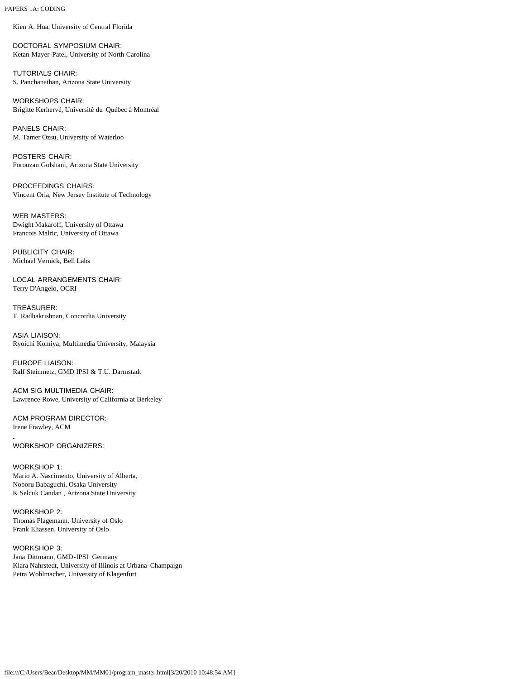Kien A. Hua, University of Central Florida

DOCTORAL SYMPOSIUM CHAIR: Ketan Mayer-Patel, University of North Carolina

TUTORIALS CHAIR: S. Panchanathan, Arizona State University

WORKSHOPS CHAIR: Brigitte Kerhervé, Université du Québec à Montréal

PANELS CHAIR: M. Tamer Özsu, University of Waterloo

POSTERS CHAIR: Forouzan Golshani, Arizona State University

PROCEEDINGS CHAIRS: Vincent Oria, New Jersey Institute of Technology

WEB MASTERS: Dwight Makaroff, University of Ottawa Francois Malric, University of Ottawa

PUBLICITY CHAIR: Michael Vernick, Bell Labs

LOCAL ARRANGEMENTS CHAIR: Terry D'Angelo, OCRI

TREASURER: T. Radhakrishnan, Concordia University

ASIA LIAISON: Ryoichi Komiya, Multimedia University, Malaysia

EUROPE LIAISON: Ralf Steinmetz, GMD IPSI & T.U. Darmstadt

ACM SIG MULTIMEDIA CHAIR: Lawrence Rowe, University of California at Berkeley

ACM PROGRAM DIRECTOR: Irene Frawley, ACM

WORKSHOP ORGANIZERS:

WORKSHOP 1: Mario A. Nascimento, University of Alberta, Noboru Babaguchi, Osaka University K Selcuk Candan , Arizona State University

WORKSHOP 2: Thomas Plagemann, University of Oslo Frank Eliassen, University of Oslo

WORKSHOP 3: Jana Dittmann, GMD-IPSI Germany Klara Nahrstedt, University of Illinois at Urbana-Champaign Petra Wohlmacher, University of Klagenfurt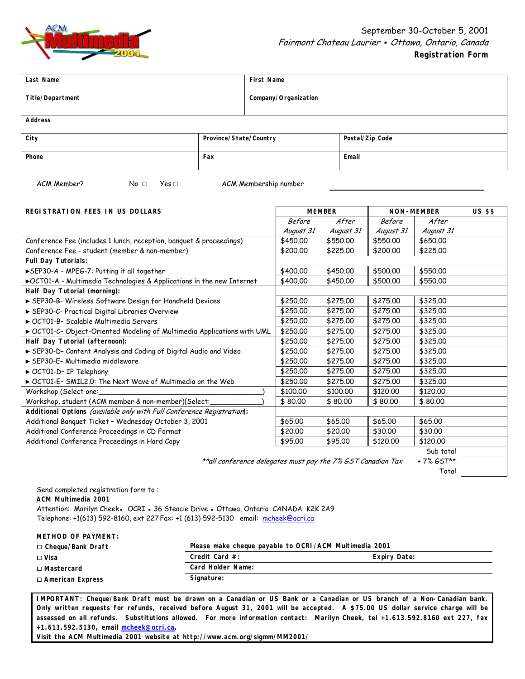<span id="page-47-0"></span>

| Last Name        |                        | First Name           |                 |
|------------------|------------------------|----------------------|-----------------|
| Title/Department |                        | Company/Organization |                 |
| <b>Address</b>   |                        |                      |                 |
| City             | Province/State/Country |                      | Postal/Zip Code |
| Phone            | Fax                    |                      | Email           |

ACM Member? No □ Yes □ ACM Membership number

| <b>REGISTRATION FEES IN US DOLLARS</b>                                 |           | <b>MEMBER</b> |           | <b>NON-MEMBER</b> |  |
|------------------------------------------------------------------------|-----------|---------------|-----------|-------------------|--|
|                                                                        | Before    | After         | Before    | After             |  |
|                                                                        | August 31 | August 31     | August 31 | August 31         |  |
| Conference Fee (includes 1 lunch, reception, banquet & proceedings)    | \$450,00  | \$550,00      | \$550.00  | \$650,00          |  |
| Conference Fee - student (member & non-member)                         | \$200,00  | \$225,00      | \$200,00  | \$225,00          |  |
| <b>Full Day Tutorials:</b>                                             |           |               |           |                   |  |
| SEP30-A - MPEG-7: Putting it all together                              | \$400.00  | \$450.00      | \$500.00  | \$550.00          |  |
| ▶ OCT01-A - Multimedia Technologies & Applications in the new Internet | \$400,00  | \$450,00      | \$500.00  | \$550,00          |  |
| Half Day Tutorial (morning):                                           |           |               |           |                   |  |
| SEP30-B- Wireless Software Design for Handheld Devices                 | \$250.00  | \$275,00      | \$275.00  | \$325,00          |  |
| SEP30-C- Practical Digital Libraries Overview                          | \$250,00  | \$275.00      | \$275,00  | \$325,00          |  |
| OCT01-B- Scalable Multimedia Servers                                   | \$250,00  | \$275,00      | \$275,00  | \$325.00          |  |
| OCT01-C- Object-Oriented Modeling of Multimedia Applications with UML  | \$250.00  | \$275.00      | \$275.00  | \$325.00          |  |
| Half Day Tutorial (afternoon):                                         |           | \$275,00      | \$275,00  | \$325.00          |  |
| SEP30-D- Content Analysis and Coding of Digital Audio and Video        | \$250.00  | \$275,00      | \$275,00  | \$325,00          |  |
| SFP30-F- Multimedia middleware                                         | \$250,00  | \$275,00      | \$275.00  | \$325,00          |  |
| OCT01-D-IP Telephony                                                   | \$250,00  | \$275,00      | \$275,00  | \$325,00          |  |
| OCT01-E- SMIL2.0: The Next Wave of Multimedia on the Web               |           | \$275,00      | \$275,00  | \$325,00          |  |
| Workshop (Select one:                                                  | \$100,00  | \$100,00      | \$120,00  | \$120,00          |  |
| Workshop, student (ACM member & non-member)(Select:                    | \$80.00   | \$80.00       | \$80,00   | \$80.00           |  |
| Additional Options (available only with Full Conference Registration): |           |               |           |                   |  |
| Additional Banquet Ticket - Wednesday October 3, 2001                  | \$65,00   | \$65,00       | \$65,00   | \$65,00           |  |
| Additional Conference Proceedings in CD Format                         | \$20.00   | \$20,00       | \$30.00   | \$30,00           |  |
| Additional Conference Proceedings in Hard Copy                         | \$95.00   | \$95,00       | \$120.00  | \$120,00          |  |
|                                                                        |           |               |           | Sub total         |  |
| **all conference delegates must pay the 7% GST Canadian Tax            |           |               |           | $+7\%$ GST**      |  |
|                                                                        |           |               |           | Total             |  |

Send completed registration form to : **ACM Multimedia 2001**  Attention: Marilyn Cheek - OCRI - 36 Steacie Drive - Ottawa, Ontario CANADA K2K 2A9 Telephone: +1(613) 592-8160, ext 227 Fax: +1 (613) 592-5130 email: mcheek@ocri.ca

| <b>METHOD OF PAYMENT:</b> |                                                        |              |  |
|---------------------------|--------------------------------------------------------|--------------|--|
| □ Cheque/Bank Draft       | Please make cheque payable to OCRI/ACM Multimedia 2001 |              |  |
| ⊓ Visa                    | Credit Card $#$ :                                      | Expiry Date: |  |
| □ Mastercard              | Card Holder Name:                                      |              |  |
| □ American Express        | Signature:                                             |              |  |

**IMPORTANT: Cheque/Bank Draft must be drawn on a Canadian or US Bank or a Canadian or US branch of a Non-Canadian bank. Only written requests for refunds, received before August 31, 2001 will be accepted. A \$75.00 US dollar service charge will be assessed on all refunds. Substitutions allowed. For more information contact: Marilyn Cheek, tel +1.613.592.8160 ext 227, fax +1.613.592.5130, email mcheek@ocri.ca.** 

**Visit the ACM Multimedia 2001 website at http://www.acm.org/sigmm/MM2001/**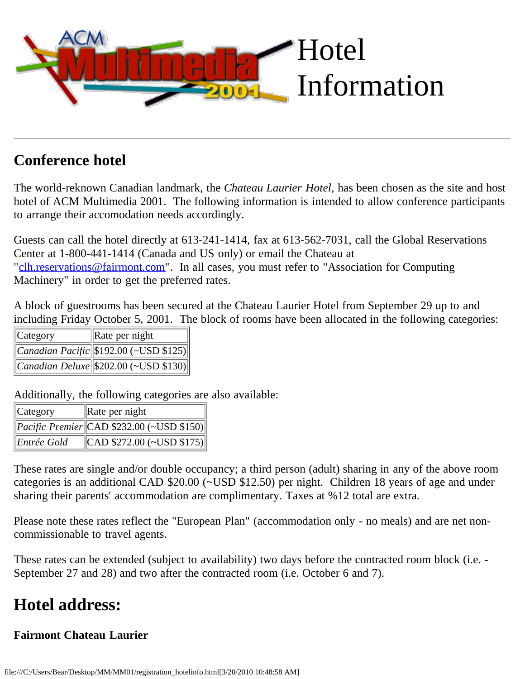<span id="page-48-0"></span>

# **Conference hotel**

The world-reknown Canadian landmark, the *Chateau Laurier Hotel*, has been chosen as the site and host hotel of ACM Multimedia 2001. The following information is intended to allow conference participants to arrange their accomodation needs accordingly.

Guests can call the hotel directly at 613-241-1414, fax at 613-562-7031, call the Global Reservations Center at 1-800-441-1414 (Canada and US only) or email the Chateau at "[clh.reservations@fairmont.com](mailto:clh.reservations@fairmont.com)". In all cases, you must refer to "Association for Computing Machinery" in order to get the preferred rates.

A block of guestrooms has been secured at the Chateau Laurier Hotel from September 29 up to and including Friday October 5, 2001. The block of rooms have been allocated in the following categories:

| $\ $ Category | Rate per night                                       |
|---------------|------------------------------------------------------|
|               | Canadian Pacific   \$192.00 (~USD \$125)             |
|               | $\ $ Canadian Deluxe $\ $ \$202.00 (~USD \$130) $\ $ |

Additionally, the following categories are also available:

| $\vert$ Category        | Rate per night                                           |
|-------------------------|----------------------------------------------------------|
|                         | $\ $ Pacific Premier $\ $ CAD \$232.00 (~USD \$150) $\ $ |
| $\parallel$ Entrée Gold | $ $ CAD \$272.00 (~USD \$175)                            |

These rates are single and/or double occupancy; a third person (adult) sharing in any of the above room categories is an additional CAD \$20.00 (~USD \$12.50) per night. Children 18 years of age and under sharing their parents' accommodation are complimentary. Taxes at %12 total are extra.

Please note these rates reflect the "European Plan" (accommodation only - no meals) and are net noncommissionable to travel agents.

These rates can be extended (subject to availability) two days before the contracted room block (i.e. - September 27 and 28) and two after the contracted room (i.e. October 6 and 7).

# **Hotel address:**

### **Fairmont Chateau Laurier**